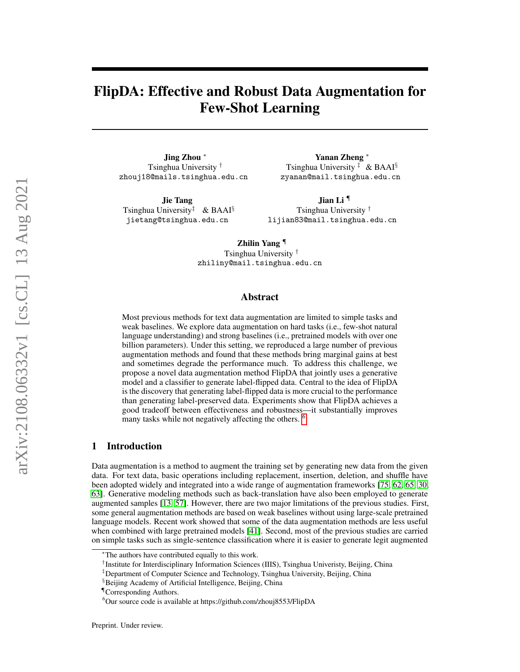# FlipDA: Effective and Robust Data Augmentation for Few-Shot Learning

Jing Zhou <sup>∗</sup> Tsinghua University † zhouj18@mails.tsinghua.edu.cn

Jie Tang Tsinghua University<sup> $\ddagger$ </sup> & BAAI<sup>§</sup> jietang@tsinghua.edu.cn

Yanan Zheng <sup>∗</sup> Tsinghua University  $\ddagger \& BAAI^{\S}$ zyanan@mail.tsinghua.edu.cn

Jian Li ¶ Tsinghua University † lijian83@mail.tsinghua.edu.cn

Zhilin Yang ¶ Tsinghua University † zhiliny@mail.tsinghua.edu.cn

### Abstract

Most previous methods for text data augmentation are limited to simple tasks and weak baselines. We explore data augmentation on hard tasks (i.e., few-shot natural language understanding) and strong baselines (i.e., pretrained models with over one billion parameters). Under this setting, we reproduced a large number of previous augmentation methods and found that these methods bring marginal gains at best and sometimes degrade the performance much. To address this challenge, we propose a novel data augmentation method FlipDA that jointly uses a generative model and a classifier to generate label-flipped data. Central to the idea of FlipDA is the discovery that generating label-flipped data is more crucial to the performance than generating label-preserved data. Experiments show that FlipDA achieves a good tradeoff between effectiveness and robustness—it substantially improves many tasks while not negatively affecting the others. <sup>[6](#page-0-0)</sup>

### 1 Introduction

Data augmentation is a method to augment the training set by generating new data from the given data. For text data, basic operations including replacement, insertion, deletion, and shuffle have been adopted widely and integrated into a wide range of augmentation frameworks [\[75,](#page-18-0) [62,](#page-17-0) [65,](#page-18-1) [30,](#page-16-0) [63\]](#page-17-1). Generative modeling methods such as back-translation have also been employed to generate augmented samples [\[13,](#page-15-0) [57\]](#page-17-2). However, there are two major limitations of the previous studies. First, some general augmentation methods are based on weak baselines without using large-scale pretrained language models. Recent work showed that some of the data augmentation methods are less useful when combined with large pretrained models [\[41\]](#page-16-1). Second, most of the previous studies are carried on simple tasks such as single-sentence classification where it is easier to generate legit augmented

<sup>∗</sup>The authors have contributed equally to this work.

<sup>†</sup> Institute for Interdisciplinary Information Sciences (IIIS), Tsinghua Univeristy, Beijing, China

<sup>‡</sup>Department of Computer Science and Technology, Tsinghua University, Beijing, China

<sup>&</sup>lt;sup>§</sup>Beijing Academy of Artificial Intelligence, Beijing, China

<sup>¶</sup>Corresponding Authors.

<span id="page-0-0"></span> $6$ Our source code is available at https://github.com/zhouj8553/FlipDA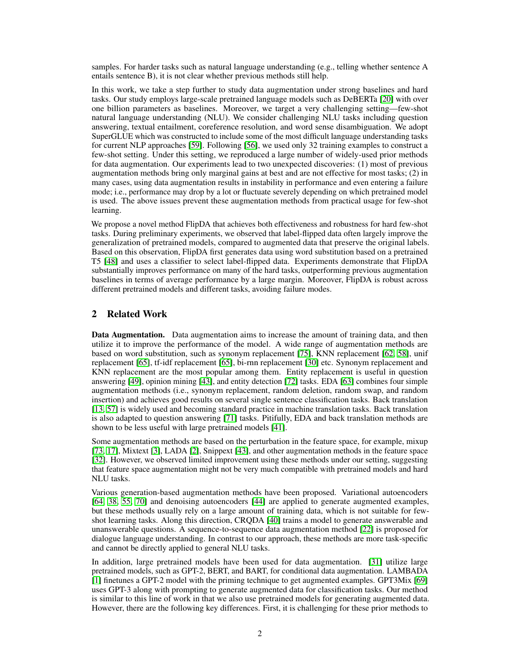samples. For harder tasks such as natural language understanding (e.g., telling whether sentence A entails sentence B), it is not clear whether previous methods still help.

In this work, we take a step further to study data augmentation under strong baselines and hard tasks. Our study employs large-scale pretrained language models such as DeBERTa [\[20\]](#page-15-1) with over one billion parameters as baselines. Moreover, we target a very challenging setting—few-shot natural language understanding (NLU). We consider challenging NLU tasks including question answering, textual entailment, coreference resolution, and word sense disambiguation. We adopt SuperGLUE which was constructed to include some of the most difficult language understanding tasks for current NLP approaches [\[59\]](#page-17-3). Following [\[56\]](#page-17-4), we used only 32 training examples to construct a few-shot setting. Under this setting, we reproduced a large number of widely-used prior methods for data augmentation. Our experiments lead to two unexpected discoveries: (1) most of previous augmentation methods bring only marginal gains at best and are not effective for most tasks; (2) in many cases, using data augmentation results in instability in performance and even entering a failure mode; i.e., performance may drop by a lot or fluctuate severely depending on which pretrained model is used. The above issues prevent these augmentation methods from practical usage for few-shot learning.

We propose a novel method FlipDA that achieves both effectiveness and robustness for hard few-shot tasks. During preliminary experiments, we observed that label-flipped data often largely improve the generalization of pretrained models, compared to augmented data that preserve the original labels. Based on this observation, FlipDA first generates data using word substitution based on a pretrained T5 [\[48\]](#page-17-5) and uses a classifier to select label-flipped data. Experiments demonstrate that FlipDA substantially improves performance on many of the hard tasks, outperforming previous augmentation baselines in terms of average performance by a large margin. Moreover, FlipDA is robust across different pretrained models and different tasks, avoiding failure modes.

### 2 Related Work

Data Augmentation. Data augmentation aims to increase the amount of training data, and then utilize it to improve the performance of the model. A wide range of augmentation methods are based on word substitution, such as synonym replacement [\[75\]](#page-18-0), KNN replacement [\[62,](#page-17-0) [58\]](#page-17-6), unif replacement [\[65\]](#page-18-1), tf-idf replacement [\[65\]](#page-18-1), bi-rnn replacement [\[30\]](#page-16-0) etc. Synonym replacement and KNN replacement are the most popular among them. Entity replacement is useful in question answering [\[49\]](#page-17-7), opinion mining [\[43\]](#page-16-2), and entity detection [\[72\]](#page-18-2) tasks. EDA [\[63\]](#page-17-1) combines four simple augmentation methods (i.e., synonym replacement, random deletion, random swap, and random insertion) and achieves good results on several single sentence classification tasks. Back translation [\[13,](#page-15-0) [57\]](#page-17-2) is widely used and becoming standard practice in machine translation tasks. Back translation is also adapted to question answering [\[71\]](#page-18-3) tasks. Pitifully, EDA and back translation methods are shown to be less useful with large pretrained models [\[41\]](#page-16-1).

Some augmentation methods are based on the perturbation in the feature space, for example, mixup [\[73,](#page-18-4) [17\]](#page-15-2), Mixtext [\[3\]](#page-14-0), LADA [\[2\]](#page-14-1), Snippext [\[43\]](#page-16-2), and other augmentation methods in the feature space [\[32\]](#page-16-3). However, we observed limited improvement using these methods under our setting, suggesting that feature space augmentation might not be very much compatible with pretrained models and hard NLU tasks.

Various generation-based augmentation methods have been proposed. Variational autoencoders [\[64,](#page-17-8) [38,](#page-16-4) [55,](#page-17-9) [70\]](#page-18-5) and denoising autoencoders [\[44\]](#page-16-5) are applied to generate augmented examples, but these methods usually rely on a large amount of training data, which is not suitable for fewshot learning tasks. Along this direction, CRQDA [\[40\]](#page-16-6) trains a model to generate answerable and unanswerable questions. A sequence-to-sequence data augmentation method [\[22\]](#page-15-3) is proposed for dialogue language understanding. In contrast to our approach, these methods are more task-specific and cannot be directly applied to general NLU tasks.

In addition, large pretrained models have been used for data augmentation. [\[31\]](#page-16-7) utilize large pretrained models, such as GPT-2, BERT, and BART, for conditional data augmentation. LAMBADA [\[1\]](#page-14-2) finetunes a GPT-2 model with the priming technique to get augmented examples. GPT3Mix [\[69\]](#page-18-6) uses GPT-3 along with prompting to generate augmented data for classification tasks. Our method is similar to this line of work in that we also use pretrained models for generating augmented data. However, there are the following key differences. First, it is challenging for these prior methods to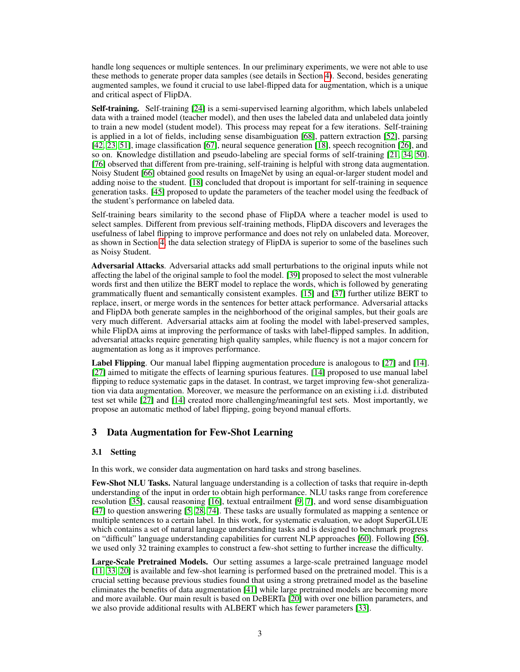handle long sequences or multiple sentences. In our preliminary experiments, we were not able to use these methods to generate proper data samples (see details in Section [4\)](#page-7-0). Second, besides generating augmented samples, we found it crucial to use label-flipped data for augmentation, which is a unique and critical aspect of FlipDA.

Self-training. Self-training [\[24\]](#page-15-4) is a semi-supervised learning algorithm, which labels unlabeled data with a trained model (teacher model), and then uses the labeled data and unlabeled data jointly to train a new model (student model). This process may repeat for a few iterations. Self-training is applied in a lot of fields, including sense disambiguation [\[68\]](#page-18-7), pattern extraction [\[52\]](#page-17-10), parsing [\[42,](#page-16-8) [23,](#page-15-5) [51\]](#page-17-11), image classification [\[67\]](#page-18-8), neural sequence generation [\[18\]](#page-15-6), speech recognition [\[26\]](#page-15-7), and so on. Knowledge distillation and pseudo-labeling are special forms of self-training [\[21,](#page-15-8) [34,](#page-16-9) [50\]](#page-17-12). [\[76\]](#page-18-9) observed that different from pre-training, self-training is helpful with strong data augmentation. Noisy Student [\[66\]](#page-18-10) obtained good results on ImageNet by using an equal-or-larger student model and adding noise to the student. [\[18\]](#page-15-6) concluded that dropout is important for self-training in sequence generation tasks. [\[45\]](#page-16-10) proposed to update the parameters of the teacher model using the feedback of the student's performance on labeled data.

Self-training bears similarity to the second phase of FlipDA where a teacher model is used to select samples. Different from previous self-training methods, FlipDA discovers and leverages the usefulness of label flipping to improve performance and does not rely on unlabeled data. Moreover, as shown in Section [4,](#page-7-0) the data selection strategy of FlipDA is superior to some of the baselines such as Noisy Student.

Adversarial Attacks. Adversarial attacks add small perturbations to the original inputs while not affecting the label of the original sample to fool the model. [\[39\]](#page-16-11) proposed to select the most vulnerable words first and then utilize the BERT model to replace the words, which is followed by generating grammatically fluent and semantically consistent examples. [\[15\]](#page-15-9) and [\[37\]](#page-16-12) further utilize BERT to replace, insert, or merge words in the sentences for better attack performance. Adversarial attacks and FlipDA both generate samples in the neighborhood of the original samples, but their goals are very much different. Adversarial attacks aim at fooling the model with label-preserved samples, while FlipDA aims at improving the performance of tasks with label-flipped samples. In addition, adversarial attacks require generating high quality samples, while fluency is not a major concern for augmentation as long as it improves performance.

Label Flipping. Our manual label flipping augmentation procedure is analogous to [\[27\]](#page-15-10) and [\[14\]](#page-15-11). [\[27\]](#page-15-10) aimed to mitigate the effects of learning spurious features. [\[14\]](#page-15-11) proposed to use manual label flipping to reduce systematic gaps in the dataset. In contrast, we target improving few-shot generalization via data augmentation. Moreover, we measure the performance on an existing i.i.d. distributed test set while [\[27\]](#page-15-10) and [\[14\]](#page-15-11) created more challenging/meaningful test sets. Most importantly, we propose an automatic method of label flipping, going beyond manual efforts.

### 3 Data Augmentation for Few-Shot Learning

### 3.1 Setting

In this work, we consider data augmentation on hard tasks and strong baselines.

Few-Shot NLU Tasks. Natural language understanding is a collection of tasks that require in-depth understanding of the input in order to obtain high performance. NLU tasks range from coreference resolution [\[35\]](#page-16-13), causal reasoning [\[16\]](#page-15-12), textual entrailment [\[9,](#page-14-3) [7\]](#page-14-4), and word sense disambiguation [\[47\]](#page-16-14) to question answering [\[5,](#page-14-5) [28,](#page-15-13) [74\]](#page-18-11). These tasks are usually formulated as mapping a sentence or multiple sentences to a certain label. In this work, for systematic evaluation, we adopt SuperGLUE which contains a set of natural language understanding tasks and is designed to benchmark progress on "difficult" language understanding capabilities for current NLP approaches [\[60\]](#page-17-13). Following [\[56\]](#page-17-4), we used only 32 training examples to construct a few-shot setting to further increase the difficulty.

Large-Scale Pretrained Models. Our setting assumes a large-scale pretrained language model [\[11,](#page-15-14) [33,](#page-16-15) [20\]](#page-15-1) is available and few-shot learning is performed based on the pretrained model. This is a crucial setting because previous studies found that using a strong pretrained model as the baseline eliminates the benefits of data augmentation [\[41\]](#page-16-1) while large pretrained models are becoming more and more available. Our main result is based on DeBERTa [\[20\]](#page-15-1) with over one billion parameters, and we also provide additional results with ALBERT which has fewer parameters [\[33\]](#page-16-15).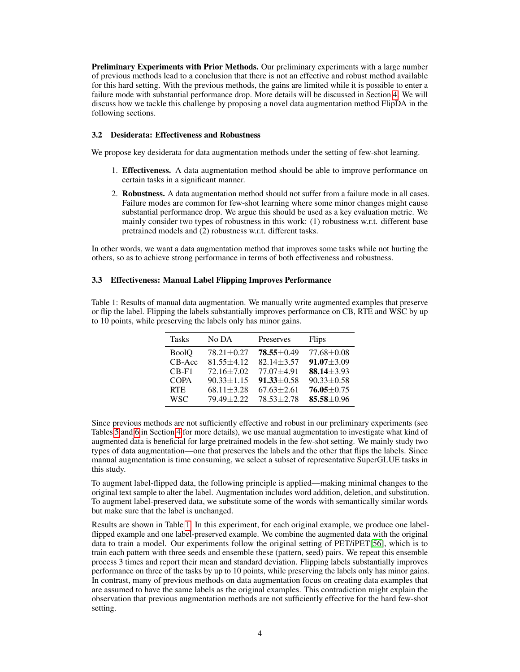Preliminary Experiments with Prior Methods. Our preliminary experiments with a large number of previous methods lead to a conclusion that there is not an effective and robust method available for this hard setting. With the previous methods, the gains are limited while it is possible to enter a failure mode with substantial performance drop. More details will be discussed in Section [4.](#page-7-0) We will discuss how we tackle this challenge by proposing a novel data augmentation method FlipDA in the following sections.

### 3.2 Desiderata: Effectiveness and Robustness

We propose key desiderata for data augmentation methods under the setting of few-shot learning.

- 1. Effectiveness. A data augmentation method should be able to improve performance on certain tasks in a significant manner.
- 2. Robustness. A data augmentation method should not suffer from a failure mode in all cases. Failure modes are common for few-shot learning where some minor changes might cause substantial performance drop. We argue this should be used as a key evaluation metric. We mainly consider two types of robustness in this work: (1) robustness w.r.t. different base pretrained models and (2) robustness w.r.t. different tasks.

In other words, we want a data augmentation method that improves some tasks while not hurting the others, so as to achieve strong performance in terms of both effectiveness and robustness.

### <span id="page-3-1"></span>3.3 Effectiveness: Manual Label Flipping Improves Performance

<span id="page-3-0"></span>Table 1: Results of manual data augmentation. We manually write augmented examples that preserve or flip the label. Flipping the labels substantially improves performance on CB, RTE and WSC by up to 10 points, while preserving the labels only has minor gains.

| <b>Tasks</b> | No DA            | Preserves        | Flips            |
|--------------|------------------|------------------|------------------|
| <b>BoolQ</b> | $78.21 \pm 0.27$ | $78.55 \pm 0.49$ | $77.68 \pm 0.08$ |
| CB-Acc       | $81.55 + 4.12$   | $82.14 + 3.57$   | $91.07 \pm 3.09$ |
| $CB-F1$      | $72.16 \pm 7.02$ | $77.07 + 4.91$   | $88.14 + 3.93$   |
| <b>COPA</b>  | $90.33 \pm 1.15$ | $91.33 \pm 0.58$ | $90.33 \pm 0.58$ |
| <b>RTE</b>   | $68.11 \pm 3.28$ | $67.63 \pm 2.61$ | $76.05 \pm 0.75$ |
| <b>WSC</b>   | $79.49 + 2.22$   | $78.53 \pm 2.78$ | 85.58 ± 0.96     |

Since previous methods are not sufficiently effective and robust in our preliminary experiments (see Tables [5](#page-9-0) and [6](#page-9-1) in Section [4](#page-7-0) for more details), we use manual augmentation to investigate what kind of augmented data is beneficial for large pretrained models in the few-shot setting. We mainly study two types of data augmentation—one that preserves the labels and the other that flips the labels. Since manual augmentation is time consuming, we select a subset of representative SuperGLUE tasks in this study.

To augment label-flipped data, the following principle is applied—making minimal changes to the original text sample to alter the label. Augmentation includes word addition, deletion, and substitution. To augment label-preserved data, we substitute some of the words with semantically similar words but make sure that the label is unchanged.

Results are shown in Table [1.](#page-3-0) In this experiment, for each original example, we produce one labelflipped example and one label-preserved example. We combine the augmented data with the original data to train a model. Our experiments follow the original setting of PET/iPET[\[56\]](#page-17-4), which is to train each pattern with three seeds and ensemble these (pattern, seed) pairs. We repeat this ensemble process 3 times and report their mean and standard deviation. Flipping labels substantially improves performance on three of the tasks by up to 10 points, while preserving the labels only has minor gains. In contrast, many of previous methods on data augmentation focus on creating data examples that are assumed to have the same labels as the original examples. This contradiction might explain the observation that previous augmentation methods are not sufficiently effective for the hard few-shot setting.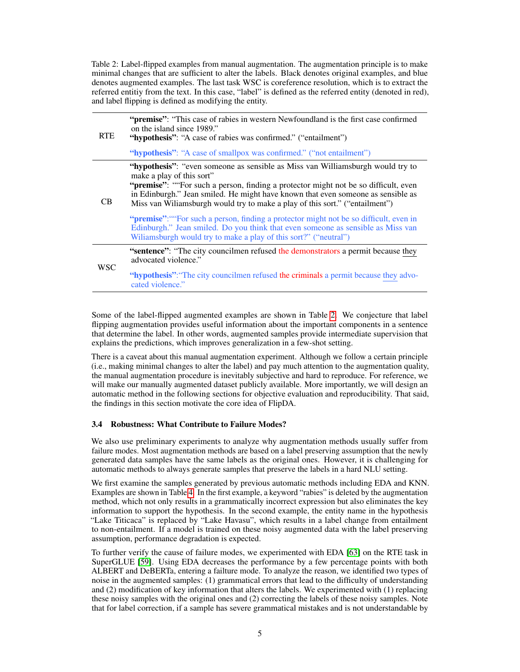<span id="page-4-0"></span>Table 2: Label-flipped examples from manual augmentation. The augmentation principle is to make minimal changes that are sufficient to alter the labels. Black denotes original examples, and blue denotes augmented examples. The last task WSC is coreference resolution, which is to extract the referred entitiy from the text. In this case, "label" is defined as the referred entity (denoted in red), and label flipping is defined as modifying the entity.

| <b>RTE</b> | "premise": "This case of rabies in western Newfoundland is the first case confirmed<br>on the island since 1989."<br>"hypothesis": "A case of rabies was confirmed." ("entailment")                                                                                                                                                                                    |
|------------|------------------------------------------------------------------------------------------------------------------------------------------------------------------------------------------------------------------------------------------------------------------------------------------------------------------------------------------------------------------------|
|            | "hypothesis": "A case of smallpox was confirmed." ("not entailment")                                                                                                                                                                                                                                                                                                   |
| CB.        | "hypothesis": "even someone as sensible as Miss van Williamsburgh would try to<br>make a play of this sort"<br>"premise": ""For such a person, finding a protector might not be so difficult, even<br>in Edinburgh." Jean smiled. He might have known that even someone as sensible as<br>Miss van Wiliamsburgh would try to make a play of this sort." ("entailment") |
|            | " <b>premise</b> ": ""For such a person, finding a protector might not be so difficult, even in<br>Edinburgh." Jean smiled. Do you think that even someone as sensible as Miss van<br>Wiliamsburgh would try to make a play of this sort?" ("neutral")                                                                                                                 |
| <b>WSC</b> | "sentence": "The city councilmen refused the demonstrators a permit because they<br>advocated violence."                                                                                                                                                                                                                                                               |
|            | "hypothesis": "The city councilmen refused the criminals a permit because they advo-<br>cated violence."                                                                                                                                                                                                                                                               |

Some of the label-flipped augmented examples are shown in Table [2.](#page-4-0) We conjecture that label flipping augmentation provides useful information about the important components in a sentence that determine the label. In other words, augmented samples provide intermediate supervision that explains the predictions, which improves generalization in a few-shot setting.

There is a caveat about this manual augmentation experiment. Although we follow a certain principle (i.e., making minimal changes to alter the label) and pay much attention to the augmentation quality, the manual augmentation procedure is inevitably subjective and hard to reproduce. For reference, we will make our manually augmented dataset publicly available. More importantly, we will design an automatic method in the following sections for objective evaluation and reproducibility. That said, the findings in this section motivate the core idea of FlipDA.

### <span id="page-4-1"></span>3.4 Robustness: What Contribute to Failure Modes?

We also use preliminary experiments to analyze why augmentation methods usually suffer from failure modes. Most augmentation methods are based on a label preserving assumption that the newly generated data samples have the same labels as the original ones. However, it is challenging for automatic methods to always generate samples that preserve the labels in a hard NLU setting.

We first examine the samples generated by previous automatic methods including EDA and KNN. Examples are shown in Table [4.](#page-5-0) In the first example, a keyword "rabies" is deleted by the augmentation method, which not only results in a grammatically incorrect expression but also eliminates the key information to support the hypothesis. In the second example, the entity name in the hypothesis "Lake Titicaca" is replaced by "Lake Havasu", which results in a label change from entailment to non-entailment. If a model is trained on these noisy augmented data with the label preserving assumption, performance degradation is expected.

To further verify the cause of failure modes, we experimented with EDA [\[63\]](#page-17-1) on the RTE task in SuperGLUE [\[59\]](#page-17-3). Using EDA decreases the performance by a few percentage points with both ALBERT and DeBERTa, entering a failture mode. To analyze the reason, we identified two types of noise in the augmented samples: (1) grammatical errors that lead to the difficulty of understanding and (2) modification of key information that alters the labels. We experimented with (1) replacing these noisy samples with the original ones and (2) correcting the labels of these noisy samples. Note that for label correction, if a sample has severe grammatical mistakes and is not understandable by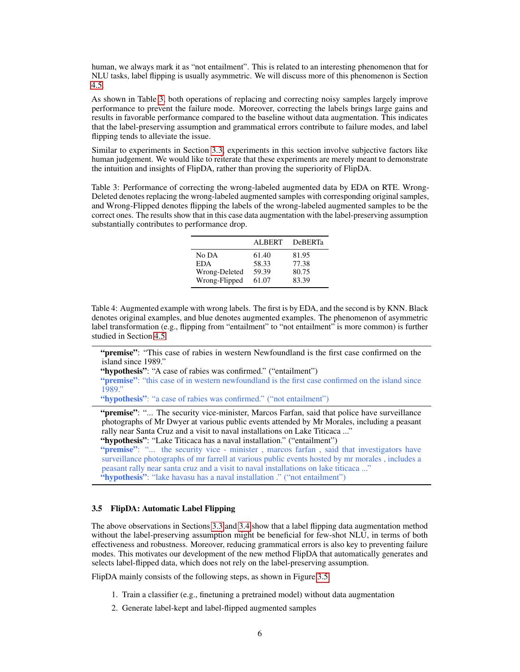human, we always mark it as "not entailment". This is related to an interesting phenomenon that for NLU tasks, label flipping is usually asymmetric. We will discuss more of this phenomenon is Section [4.5.](#page-10-0)

As shown in Table [3,](#page-5-1) both operations of replacing and correcting noisy samples largely improve performance to prevent the failure mode. Moreover, correcting the labels brings large gains and results in favorable performance compared to the baseline without data augmentation. This indicates that the label-preserving assumption and grammatical errors contribute to failure modes, and label flipping tends to alleviate the issue.

Similar to experiments in Section [3.3,](#page-3-1) experiments in this section involve subjective factors like human judgement. We would like to reiterate that these experiments are merely meant to demonstrate the intuition and insights of FlipDA, rather than proving the superiority of FlipDA.

<span id="page-5-1"></span>Table 3: Performance of correcting the wrong-labeled augmented data by EDA on RTE. Wrong-Deleted denotes replacing the wrong-labeled augmented samples with corresponding original samples, and Wrong-Flipped denotes flipping the labels of the wrong-labeled augmented samples to be the correct ones. The results show that in this case data augmentation with the label-preserving assumption substantially contributes to performance drop.

|               | ALBERT | <b>DeBERTa</b> |
|---------------|--------|----------------|
| No DA         | 61.40  | 81.95          |
| <b>EDA</b>    | 58.33  | 77.38          |
| Wrong-Deleted | 59.39  | 80.75          |
| Wrong-Flipped | 61.07  | 83.39          |

<span id="page-5-0"></span>Table 4: Augmented example with wrong labels. The first is by EDA, and the second is by KNN. Black denotes original examples, and blue denotes augmented examples. The phenomenon of asymmetric label transformation (e.g., flipping from "entailment" to "not entailment" is more common) is further studied in Section [4.5.](#page-10-0)

"premise": "This case of rabies in western Newfoundland is the first case confirmed on the island since 1989."

"hypothesis": "A case of rabies was confirmed." ("entailment")

"**premise**": "this case of in western newfoundland is the first case confirmed on the island since 1989."

"hypothesis": "a case of rabies was confirmed." ("not entailment")

"premise": "... The security vice-minister, Marcos Farfan, said that police have surveillance photographs of Mr Dwyer at various public events attended by Mr Morales, including a peasant rally near Santa Cruz and a visit to naval installations on Lake Titicaca ..."

"hypothesis": "Lake Titicaca has a naval installation." ("entailment")

"**premise**": "... the security vice - minister, marcos farfan, said that investigators have surveillance photographs of mr farrell at various public events hosted by mr morales , includes a peasant rally near santa cruz and a visit to naval installations on lake titicaca ..." "hypothesis": "lake havasu has a naval installation". ("not entailment")

## <span id="page-5-2"></span>3.5 FlipDA: Automatic Label Flipping

The above observations in Sections [3.3](#page-3-1) and [3.4](#page-4-1) show that a label flipping data augmentation method without the label-preserving assumption might be beneficial for few-shot NLU, in terms of both effectiveness and robustness. Moreover, reducing grammatical errors is also key to preventing failure modes. This motivates our development of the new method FlipDA that automatically generates and selects label-flipped data, which does not rely on the label-preserving assumption.

FlipDA mainly consists of the following steps, as shown in Figure [3.5:](#page-5-2)

- 1. Train a classifier (e.g., finetuning a pretrained model) without data augmentation
- 2. Generate label-kept and label-flipped augmented samples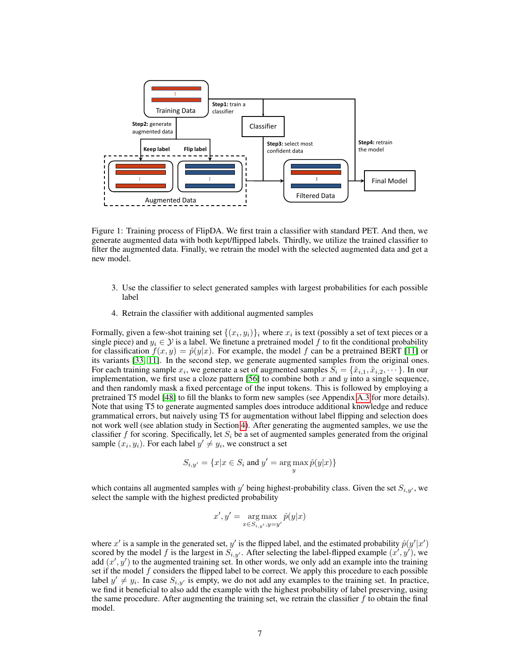

Figure 1: Training process of FlipDA. We first train a classifier with standard PET. And then, we generate augmented data with both kept/flipped labels. Thirdly, we utilize the trained classifier to filter the augmented data. Finally, we retrain the model with the selected augmented data and get a new model.

- 3. Use the classifier to select generated samples with largest probabilities for each possible label
- 4. Retrain the classifier with additional augmented samples

Formally, given a few-shot training set  $\{(x_i, y_i)\}_i$  where  $x_i$  is text (possibly a set of text pieces or a single piece) and  $y_i \in \mathcal{Y}$  is a label. We finetune a pretrained model f to fit the conditional probability for classification  $f(x, y) = \hat{p}(y|x)$ . For example, the model f can be a pretrained BERT [\[11\]](#page-15-14) or its variants [\[33,](#page-16-15) [11\]](#page-15-14). In the second step, we generate augmented samples from the original ones. For each training sample  $x_i$ , we generate a set of augmented samples  $S_i = \{x_{i,1}, x_{i,2}, \dots\}$ . In our implementation, we first use a cloze pattern [\[56\]](#page-17-4) to combine both  $x$  and  $y$  into a single sequence, and then randomly mask a fixed percentage of the input tokens. This is followed by employing a pretrained T5 model [\[48\]](#page-17-5) to fill the blanks to form new samples (see Appendix [A.3](#page-19-0) for more details). Note that using T5 to generate augmented samples does introduce additional knowledge and reduce grammatical errors, but naively using T5 for augmentation without label flipping and selection does not work well (see ablation study in Section [4\)](#page-7-0). After generating the augmented samples, we use the classifier f for scoring. Specifically, let  $S_i$  be a set of augmented samples generated from the original sample  $(x_i, y_i)$ . For each label  $y' \neq y_i$ , we construct a set

$$
S_{i,y'}=\{x|x\in S_i\text{ and }y'=\argmax_y\hat{p}(y|x)\}
$$

which contains all augmented samples with y' being highest-probability class. Given the set  $S_{i,y'}$ , we select the sample with the highest predicted probability

$$
x',y'=\argmax_{x\in S_{i,y'},y=y'} \hat{p}(y|x)
$$

where x' is a sample in the generated set, y' is the flipped label, and the estimated probability  $\hat{p}(y'|x')$ scored by the model f is the largest in  $S_{i,y'}$ . After selecting the label-flipped example  $(x', y')$ , we add  $(x', y')$  to the augmented training set. In other words, we only add an example into the training set if the model  $f$  considers the flipped label to be correct. We apply this procedure to each possible label  $y' \neq y_i$ . In case  $S_{i,y'}$  is empty, we do not add any examples to the training set. In practice, we find it beneficial to also add the example with the highest probability of label preserving, using the same procedure. After augmenting the training set, we retrain the classifier  $f$  to obtain the final model.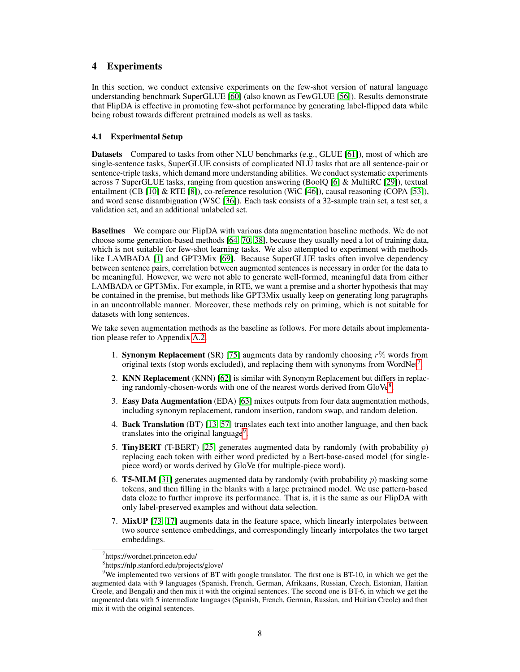### <span id="page-7-0"></span>4 Experiments

In this section, we conduct extensive experiments on the few-shot version of natural language understanding benchmark SuperGLUE [\[60\]](#page-17-13) (also known as FewGLUE [\[56\]](#page-17-4)). Results demonstrate that FlipDA is effective in promoting few-shot performance by generating label-flipped data while being robust towards different pretrained models as well as tasks.

### 4.1 Experimental Setup

Datasets Compared to tasks from other NLU benchmarks (e.g., GLUE [\[61\]](#page-17-14)), most of which are single-sentence tasks, SuperGLUE consists of complicated NLU tasks that are all sentence-pair or sentence-triple tasks, which demand more understanding abilities. We conduct systematic experiments across 7 SuperGLUE tasks, ranging from question answering (BoolQ [\[6\]](#page-14-6) & MultiRC [\[29\]](#page-15-15)), textual entailment (CB [\[10\]](#page-15-16) & RTE [\[8\]](#page-14-7)), co-reference resolution (WiC [\[46\]](#page-16-16)), causal reasoning (COPA [\[53\]](#page-17-15)), and word sense disambiguation (WSC [\[36\]](#page-16-17)). Each task consists of a 32-sample train set, a test set, a validation set, and an additional unlabeled set.

Baselines We compare our FlipDA with various data augmentation baseline methods. We do not choose some generation-based methods [\[64,](#page-17-8) [70,](#page-18-5) [38\]](#page-16-4), because they usually need a lot of training data, which is not suitable for few-shot learning tasks. We also attempted to experiment with methods like LAMBADA [\[1\]](#page-14-2) and GPT3Mix [\[69\]](#page-18-6). Because SuperGLUE tasks often involve dependency between sentence pairs, correlation between augmented sentences is necessary in order for the data to be meaningful. However, we were not able to generate well-formed, meaningful data from either LAMBADA or GPT3Mix. For example, in RTE, we want a premise and a shorter hypothesis that may be contained in the premise, but methods like GPT3Mix usually keep on generating long paragraphs in an uncontrollable manner. Moreover, these methods rely on priming, which is not suitable for datasets with long sentences.

We take seven augmentation methods as the baseline as follows. For more details about implementation please refer to Appendix [A.2.](#page-19-1)

- 1. Synonym Replacement (SR) [\[75\]](#page-18-0) augments data by randomly choosing  $r\%$  words from original texts (stop words excluded), and replacing them with synonyms from WordNet<sup>[7](#page-7-1)</sup>.
- 2. KNN Replacement (KNN) [\[62\]](#page-17-0) is similar with Synonym Replacement but differs in replac-ing randomly-chosen-words with one of the nearest words derived from GloVe[8](#page-7-2).
- 3. Easy Data Augmentation (EDA) [\[63\]](#page-17-1) mixes outputs from four data augmentation methods, including synonym replacement, random insertion, random swap, and random deletion.
- 4. Back Translation (BT) [\[13,](#page-15-0) [57\]](#page-17-2) translates each text into another language, and then back translates into the original language<sup>[9](#page-7-3)</sup>.
- 5. **TinyBERT** (T-BERT) [\[25\]](#page-15-17) generates augmented data by randomly (with probability  $p$ ) replacing each token with either word predicted by a Bert-base-cased model (for singlepiece word) or words derived by GloVe (for multiple-piece word).
- 6. **T5-MLM** [\[31\]](#page-16-7) generates augmented data by randomly (with probability  $p$ ) masking some tokens, and then filling in the blanks with a large pretrained model. We use pattern-based data cloze to further improve its performance. That is, it is the same as our FlipDA with only label-preserved examples and without data selection.
- 7. MixUP [\[73,](#page-18-4) [17\]](#page-15-2) augments data in the feature space, which linearly interpolates between two source sentence embeddings, and correspondingly linearly interpolates the two target embeddings.

<span id="page-7-1"></span><sup>7</sup> https://wordnet.princeton.edu/

<span id="page-7-3"></span><span id="page-7-2"></span><sup>8</sup> https://nlp.stanford.edu/projects/glove/

 $9$ We implemented two versions of BT with google translator. The first one is BT-10, in which we get the augmented data with 9 languages (Spanish, French, German, Afrikaans, Russian, Czech, Estonian, Haitian Creole, and Bengali) and then mix it with the original sentences. The second one is BT-6, in which we get the augmented data with 5 intermediate languages (Spanish, French, German, Russian, and Haitian Creole) and then mix it with the original sentences.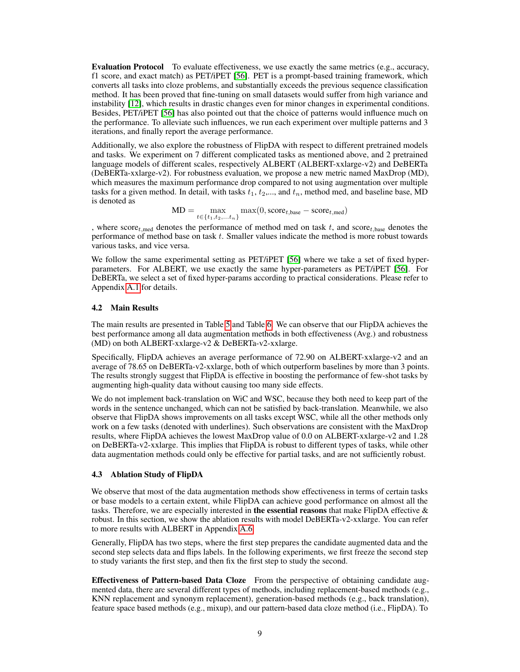Evaluation Protocol To evaluate effectiveness, we use exactly the same metrics (e.g., accuracy, f1 score, and exact match) as PET/iPET [\[56\]](#page-17-4). PET is a prompt-based training framework, which converts all tasks into cloze problems, and substantially exceeds the previous sequence classification method. It has been proved that fine-tuning on small datasets would suffer from high variance and instability [\[12\]](#page-15-18), which results in drastic changes even for minor changes in experimental conditions. Besides, PET/iPET [\[56\]](#page-17-4) has also pointed out that the choice of patterns would influence much on the performance. To alleviate such influences, we run each experiment over multiple patterns and 3 iterations, and finally report the average performance.

Additionally, we also explore the robustness of FlipDA with respect to different pretrained models and tasks. We experiment on 7 different complicated tasks as mentioned above, and 2 pretrained language models of different scales, respectively ALBERT (ALBERT-xxlarge-v2) and DeBERTa (DeBERTa-xxlarge-v2). For robustness evaluation, we propose a new metric named MaxDrop (MD), which measures the maximum performance drop compared to not using augmentation over multiple tasks for a given method. In detail, with tasks  $t_1, t_2, \ldots$ , and  $t_n$ , method med, and baseline base, MD is denoted as

$$
MD = \max_{t \in \{t_1, t_2, \dots, t_n\}} \max(0, score_{t, base} - score_{t, med})
$$

, where score<sub>t,med</sub> denotes the performance of method med on task t, and score<sub>t,base</sub> denotes the performance of method base on task t. Smaller values indicate the method is more robust towards various tasks, and vice versa.

We follow the same experimental setting as PET/iPET [\[56\]](#page-17-4) where we take a set of fixed hyperparameters. For ALBERT, we use exactly the same hyper-parameters as PET/iPET [\[56\]](#page-17-4). For DeBERTa, we select a set of fixed hyper-params according to practical considerations. Please refer to Appendix [A.1](#page-18-12) for details.

### 4.2 Main Results

The main results are presented in Table [5](#page-9-0) and Table [6.](#page-9-1) We can observe that our FlipDA achieves the best performance among all data augmentation methods in both effectiveness (Avg.) and robustness (MD) on both ALBERT-xxlarge-v2 & DeBERTa-v2-xxlarge.

Specifically, FlipDA achieves an average performance of 72.90 on ALBERT-xxlarge-v2 and an average of 78.65 on DeBERTa-v2-xxlarge, both of which outperform baselines by more than 3 points. The results strongly suggest that FlipDA is effective in boosting the performance of few-shot tasks by augmenting high-quality data without causing too many side effects.

We do not implement back-translation on WiC and WSC, because they both need to keep part of the words in the sentence unchanged, which can not be satisfied by back-translation. Meanwhile, we also observe that FlipDA shows improvements on all tasks except WSC, while all the other methods only work on a few tasks (denoted with underlines). Such observations are consistent with the MaxDrop results, where FlipDA achieves the lowest MaxDrop value of 0.0 on ALBERT-xxlarge-v2 and 1.28 on DeBERTa-v2-xxlarge. This implies that FlipDA is robust to different types of tasks, while other data augmentation methods could only be effective for partial tasks, and are not sufficiently robust.

### 4.3 Ablation Study of FlipDA

We observe that most of the data augmentation methods show effectiveness in terms of certain tasks or base models to a certain extent, while FlipDA can achieve good performance on almost all the tasks. Therefore, we are especially interested in **the essential reasons** that make FlipDA effective  $\&$ robust. In this section, we show the ablation results with model DeBERTa-v2-xxlarge. You can refer to more results with ALBERT in Appendix [A.6.](#page-21-0)

Generally, FlipDA has two steps, where the first step prepares the candidate augmented data and the second step selects data and flips labels. In the following experiments, we first freeze the second step to study variants the first step, and then fix the first step to study the second.

Effectiveness of Pattern-based Data Cloze From the perspective of obtaining candidate augmented data, there are several different types of methods, including replacement-based methods (e.g., KNN replacement and synonym replacement), generation-based methods (e.g., back translation), feature space based methods (e.g., mixup), and our pattern-based data cloze method (i.e., FlipDA). To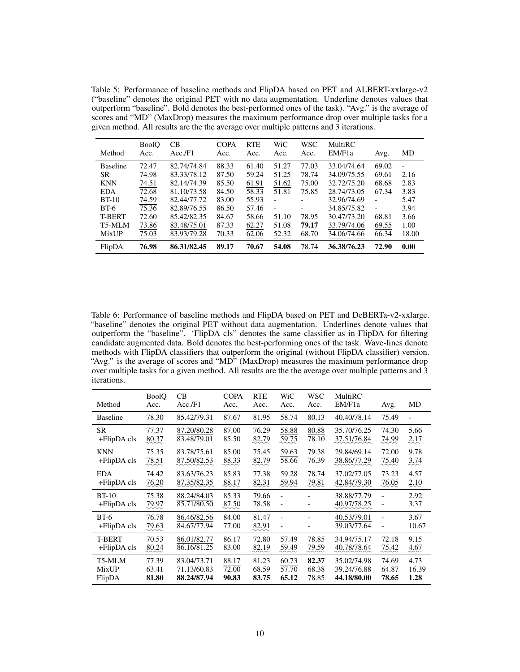<span id="page-9-0"></span>Table 5: Performance of baseline methods and FlipDA based on PET and ALBERT-xxlarge-v2 ("baseline" denotes the original PET with no data augmentation. Underline denotes values that outperform "baseline". Bold denotes the best-performed ones of the task). "Avg." is the average of scores and "MD" (MaxDrop) measures the maximum performance drop over multiple tasks for a given method. All results are the the average over multiple patterns and 3 iterations.

| Method          | BoolQ<br>Acc. | CB<br>Acc.F1 | <b>COPA</b><br>Acc. | <b>RTE</b><br>Acc. | WiC<br>Acc.              | <b>WSC</b><br>Acc. | MultiRC<br>EM/F1a | Avg.  | MD                       |
|-----------------|---------------|--------------|---------------------|--------------------|--------------------------|--------------------|-------------------|-------|--------------------------|
| <b>Baseline</b> | 72.47         | 82.74/74.84  | 88.33               | 61.40              | 51.27                    | 77.03              | 33.04/74.64       | 69.02 | $\overline{\phantom{a}}$ |
| <b>SR</b>       | 74.98         | 83.33/78.12  | 87.50               | 59.24              | 51.25                    | 78.74              | 34.09/75.55       | 69.61 | 2.16                     |
| <b>KNN</b>      | 74.51         | 82.14/74.39  | 85.50               | 61.91              | 51.62                    | 75.00              | 32.72/75.20       | 68.68 | 2.83                     |
| <b>EDA</b>      | 72.68         | 81.10/73.58  | 84.50               | 58.33              | 51.81                    | 75.85              | 28.74/73.05       | 67.34 | 3.83                     |
| $BT-10$         | 74.59         | 82.44/77.72  | 83.00               | 55.93              |                          |                    | 32.96/74.69       |       | 5.47                     |
| $BT-6$          | 75.36         | 82.89/76.55  | 86.50               | 57.46              | $\overline{\phantom{a}}$ |                    | 34.85/75.82       |       | 3.94                     |
| <b>T-BERT</b>   | 72.60         | 85.42/82.35  | 84.67               | 58.66              | 51.10                    | 78.95              | 30.47/73.20       | 68.81 | 3.66                     |
| T5-MLM          | 73.86         | 83.48/75.01  | 87.33               | 62.27              | 51.08                    | 79.17              | 33.79/74.06       | 69.55 | 1.00                     |
| MixUP           | 75.03         | 83.93/79.28  | 70.33               | 62.06              | 52.32                    | 68.70              | 34.06/74.66       | 66.34 | 18.00                    |
| FlipDA          | 76.98         | 86.31/82.45  | 89.17               | 70.67              | 54.08                    | 78.74              | 36.38/76.23       | 72.90 | 0.00                     |

<span id="page-9-1"></span>Table 6: Performance of baseline methods and FlipDA based on PET and DeBERTa-v2-xxlarge. "baseline" denotes the original PET without data augmentation. Underlines denote values that outperform the "baseline". 'FlipDA cls" denotes the same classifier as in FlipDA for filtering candidate augmented data. Bold denotes the best-performing ones of the task. Wave-lines denote methods with FlipDA classifiers that outperform the original (without FlipDA classifier) version. "Avg." is the average of scores and "MD" (MaxDrop) measures the maximum performance drop over multiple tasks for a given method. All results are the the average over multiple patterns and 3 iterations.

| Method                    | <b>BoolO</b><br>Acc. | CB<br>Acc.F1               | <b>COPA</b><br>Acc. | <b>RTE</b><br>Acc. | WiC<br>Acc. | <b>WSC</b><br>Acc. | MultiRC<br>EM/F1a          | Avg.                | MD            |
|---------------------------|----------------------|----------------------------|---------------------|--------------------|-------------|--------------------|----------------------------|---------------------|---------------|
| <b>Baseline</b>           | 78.30                | 85.42/79.31                | 87.67               | 81.95              | 58.74       | 80.13              | 40.40/78.14                | 75.49               |               |
| <b>SR</b>                 | 77.37                | 87.20/80.28                | 87.00               | 76.29              | 58.88       | 80.88              | 35.70/76.25                | 74.30               | 5.66          |
| $+$ FlipDA cls            | 80.37                | 83.48/79.01                | 85.50               | 82.79              | 59.75       | 78.10              | 37.51/76.84                | 74.99               | 2.17          |
| <b>KNN</b>                | 75.35                | 83.78/75.61                | 85.00               | 75.45              | 59.63       | 79.38              | 29.84/69.14                | 72.00               | 9.78          |
| $+$ FlipDA cls            | 78.51                | 87.50/82.53                | 88.33               | 82.79              | 58.66       | 76.39              | 38.86/77.29                | 75.40               | 3.74          |
| <b>EDA</b>                | 74.42                | 83.63/76.23                | 85.83               | 77.38              | 59.28       | 78.74              | 37.02/77.05                | 73.23               | 4.57          |
| $+$ FlipDA cls            | 76.20                | 87.35/82.35                | 88.17               | 82.31              | 59.94       | 79.81              | 42.84/79.30                | 76.05               | 2.10          |
| $BT-10$<br>$+$ FlipDA cls | 75.38<br>79.97       | 88.24/84.03<br>85.71/80.50 | 85.33<br>87.50      | 79.66<br>78.58     |             |                    | 38.88/77.79<br>40.97/78.25 |                     | 2.92<br>3.37  |
| $BT-6$<br>$+$ FlipDA cls  | 76.78<br>79.63       | 86.46/82.56<br>84.67/77.94 | 84.00<br>77.00      | 81.47<br>82.91     | -           |                    | 40.53/79.01<br>39.03/77.64 | $\overline{a}$<br>۰ | 3.67<br>10.67 |
| <b>T-BERT</b>             | 70.53                | 86.01/82.77                | 86.17               | 72.80              | 57.49       | 78.85              | 34.94/75.17                | 72.18               | 9.15          |
| $+$ FlipDA cls            | 80.24                | 86.16/81.25                | 83.00               | 82.19              | 59.49       | 79.59              | 40.78/78.64                | 75.42               | 4.67          |
| T5-MLM                    | 77.39                | 83.04/73.71                | 88.17               | 81.23              | 60.73       | 82.37              | 35.02/74.98                | 74.69               | 4.73          |
| <b>MixUP</b>              | 63.41                | 71.13/60.83                | 72.00               | 68.59              | 57.70       | 68.38              | 39.24/76.88                | 64.87               | 16.39         |
| FlipDA                    | 81.80                | 88.24/87.94                | 90.83               | 83.75              | 65.12       | 78.85              | 44.18/80.00                | 78.65               | 1.28          |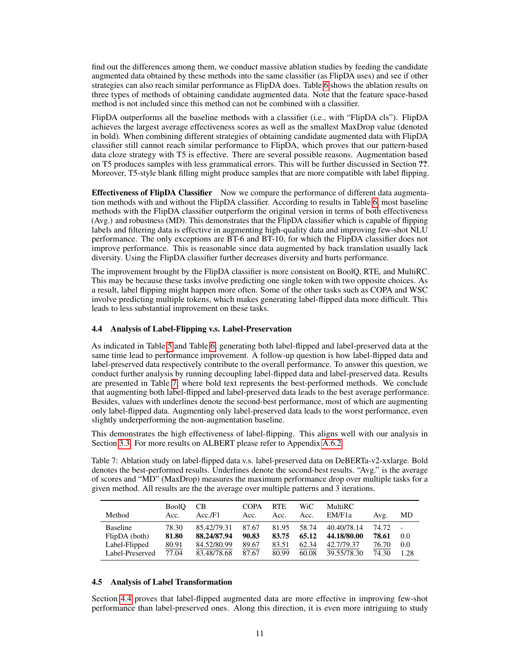find out the differences among them, we conduct massive ablation studies by feeding the candidate augmented data obtained by these methods into the same classifier (as FlipDA uses) and see if other strategies can also reach similar performance as FlipDA does. Table [6](#page-9-1) shows the ablation results on three types of methods of obtaining candidate augmented data. Note that the feature space-based method is not included since this method can not be combined with a classifier.

FlipDA outperforms all the baseline methods with a classifier (i.e., with "FlipDA cls"). FlipDA achieves the largest average effectiveness scores as well as the smallest MaxDrop value (denoted in bold). When combining different strategies of obtaining candidate augmented data with FlipDA classifier still cannot reach similar performance to FlipDA, which proves that our pattern-based data cloze strategy with T5 is effective. There are several possible reasons. Augmentation based on T5 produces samples with less grammatical errors. This will be further discussed in Section ??. Moreover, T5-style blank filling might produce samples that are more compatible with label flipping.

Effectiveness of FlipDA Classifier Now we compare the performance of different data augmentation methods with and without the FlipDA classifier. According to results in Table [6,](#page-9-1) most baseline methods with the FlipDA classifier outperform the original version in terms of both effectiveness (Avg.) and robustness (MD). This demonstrates that the FlipDA classifier which is capable of flipping labels and filtering data is effective in augmenting high-quality data and improving few-shot NLU performance. The only exceptions are BT-6 and BT-10, for which the FlipDA classifier does not improve performance. This is reasonable since data augmented by back translation usually lack diversity. Using the FlipDA classifier further decreases diversity and hurts performance.

The improvement brought by the FlipDA classifier is more consistent on BoolQ, RTE, and MultiRC. This may be because these tasks involve predicting one single token with two opposite choices. As a result, label flipping might happen more often. Some of the other tasks such as COPA and WSC involve predicting multiple tokens, which makes generating label-flipped data more difficult. This leads to less substantial improvement on these tasks.

### <span id="page-10-2"></span>4.4 Analysis of Label-Flipping v.s. Label-Preservation

As indicated in Table [5](#page-9-0) and Table [6,](#page-9-1) generating both label-flipped and label-preserved data at the same time lead to performance improvement. A follow-up question is how label-flipped data and label-preserved data respectively contribute to the overall performance. To answer this question, we conduct further analysis by running decoupling label-flipped data and label-preserved data. Results are presented in Table [7,](#page-10-1) where bold text represents the best-performed methods. We conclude that augmenting both label-flipped and label-preserved data leads to the best average performance. Besides, values with underlines denote the second-best performance, most of which are augmenting only label-flipped data. Augmenting only label-preserved data leads to the worst performance, even slightly underperforming the non-augmentation baseline.

This demonstrates the high effectiveness of label-flipping. This aligns well with our analysis in Section [3.3.](#page-3-1) For more results on ALBERT please refer to Appendix [A.6.2.](#page-21-1)

<span id="page-10-1"></span>Table 7: Ablation study on label-flipped data v.s. label-preserved data on DeBERTa-v2-xxlarge. Bold denotes the best-performed results. Underlines denote the second-best results. "Avg." is the average of scores and "MD" (MaxDrop) measures the maximum performance drop over multiple tasks for a given method. All results are the the average over multiple patterns and 3 iterations.

| Method                                                               | <b>BoolO</b><br>Acc.             | <b>CB</b><br>Acc./F1                                     | <b>COPA</b><br>Acc.              | <b>RTE</b><br>Acc.               | WiC<br>Acc.                      | <b>MultiRC</b><br>EM/F <sub>1</sub> a                   | Avg.                             | MD                 |
|----------------------------------------------------------------------|----------------------------------|----------------------------------------------------------|----------------------------------|----------------------------------|----------------------------------|---------------------------------------------------------|----------------------------------|--------------------|
| <b>Baseline</b><br>FlipDA (both)<br>Label-Flipped<br>Label-Preserved | 78.30<br>81.80<br>80.91<br>77.04 | 85.42/79.31<br>88.24/87.94<br>84.52/80.99<br>83.48/78.68 | 87.67<br>90.83<br>89.67<br>87.67 | 81.95<br>83.75<br>83.51<br>80.99 | 58.74<br>65.12<br>62.34<br>60.08 | 40.40/78.14<br>44.18/80.00<br>42.7/79.37<br>39.55/78.30 | 74.72<br>78.61<br>76.70<br>74.30 | 0.0<br>0.0<br>1.28 |

### <span id="page-10-0"></span>4.5 Analysis of Label Transformation

Section [4.4](#page-10-2) proves that label-flipped augmented data are more effective in improving few-shot performance than label-preserved ones. Along this direction, it is even more intriguing to study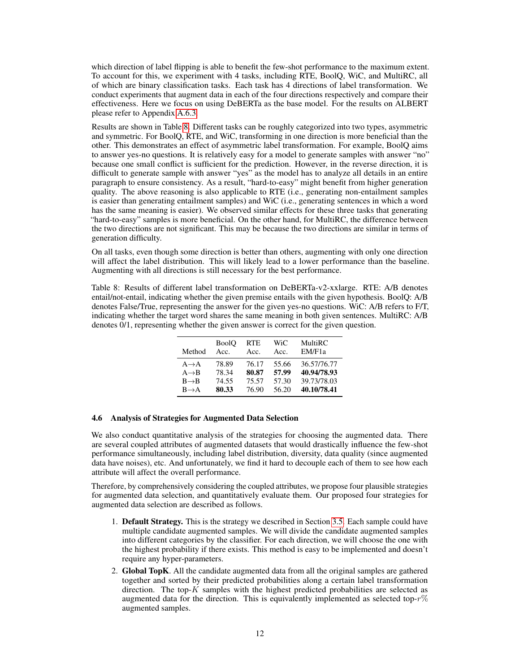which direction of label flipping is able to benefit the few-shot performance to the maximum extent. To account for this, we experiment with 4 tasks, including RTE, BoolQ, WiC, and MultiRC, all of which are binary classification tasks. Each task has 4 directions of label transformation. We conduct experiments that augment data in each of the four directions respectively and compare their effectiveness. Here we focus on using DeBERTa as the base model. For the results on ALBERT please refer to Appendix [A.6.3.](#page-22-0)

Results are shown in Table [8.](#page-11-0) Different tasks can be roughly categorized into two types, asymmetric and symmetric. For BoolQ, RTE, and WiC, transforming in one direction is more beneficial than the other. This demonstrates an effect of asymmetric label transformation. For example, BoolQ aims to answer yes-no questions. It is relatively easy for a model to generate samples with answer "no" because one small conflict is sufficient for the prediction. However, in the reverse direction, it is difficult to generate sample with answer "yes" as the model has to analyze all details in an entire paragraph to ensure consistency. As a result, "hard-to-easy" might benefit from higher generation quality. The above reasoning is also applicable to RTE (i.e., generating non-entailment samples is easier than generating entailment samples) and WiC (i.e., generating sentences in which a word has the same meaning is easier). We observed similar effects for these three tasks that generating "hard-to-easy" samples is more beneficial. On the other hand, for MultiRC, the difference between the two directions are not significant. This may be because the two directions are similar in terms of generation difficulty.

On all tasks, even though some direction is better than others, augmenting with only one direction will affect the label distribution. This will likely lead to a lower performance than the baseline. Augmenting with all directions is still necessary for the best performance.

<span id="page-11-0"></span>Table 8: Results of different label transformation on DeBERTa-v2-xxlarge. RTE: A/B denotes entail/not-entail, indicating whether the given premise entails with the given hypothesis. BoolQ: A/B denotes False/True, representing the answer for the given yes-no questions. WiC: A/B refers to F/T, indicating whether the target word shares the same meaning in both given sentences. MultiRC: A/B denotes 0/1, representing whether the given answer is correct for the given question.

| Method            | <b>BoolO</b> | <b>RTE</b> | WiC   | MultiRC             |
|-------------------|--------------|------------|-------|---------------------|
|                   | Acc.         | Acc.       | Acc.  | EM/F <sub>1</sub> a |
| $A \rightarrow A$ | 78.89        | 76.17      | 55.66 | 36.57/76.77         |
| $A \rightarrow B$ | 78.34        | 80.87      | 57.99 | 40.94/78.93         |
| $B \rightarrow B$ | 74.55        | 75.57      | 57.30 | 39.73/78.03         |
| $B \rightarrow A$ | 80.33        | 76.90      | 56.20 | 40.10/78.41         |

### 4.6 Analysis of Strategies for Augmented Data Selection

We also conduct quantitative analysis of the strategies for choosing the augmented data. There are several coupled attributes of augmented datasets that would drastically influence the few-shot performance simultaneously, including label distribution, diversity, data quality (since augmented data have noises), etc. And unfortunately, we find it hard to decouple each of them to see how each attribute will affect the overall performance.

Therefore, by comprehensively considering the coupled attributes, we propose four plausible strategies for augmented data selection, and quantitatively evaluate them. Our proposed four strategies for augmented data selection are described as follows.

- 1. Default Strategy. This is the strategy we described in Section [3.5.](#page-5-2) Each sample could have multiple candidate augmented samples. We will divide the candidate augmented samples into different categories by the classifier. For each direction, we will choose the one with the highest probability if there exists. This method is easy to be implemented and doesn't require any hyper-parameters.
- 2. Global TopK. All the candidate augmented data from all the original samples are gathered together and sorted by their predicted probabilities along a certain label transformation direction. The top- $\overline{K}$  samples with the highest predicted probabilities are selected as augmented data for the direction. This is equivalently implemented as selected top- $r\%$ augmented samples.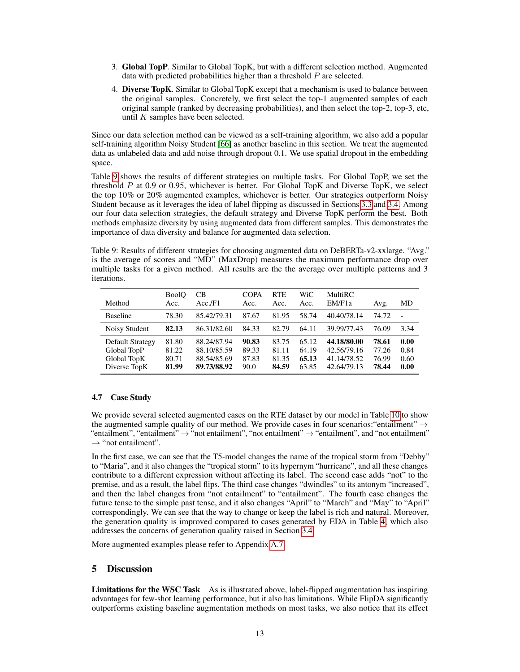- 3. Global TopP. Similar to Global TopK, but with a different selection method. Augmented data with predicted probabilities higher than a threshold P are selected.
- 4. Diverse TopK. Similar to Global TopK except that a mechanism is used to balance between the original samples. Concretely, we first select the top-1 augmented samples of each original sample (ranked by decreasing probabilities), and then select the top-2, top-3, etc, until  $K$  samples have been selected.

Since our data selection method can be viewed as a self-training algorithm, we also add a popular self-training algorithm Noisy Student [\[66\]](#page-18-10) as another baseline in this section. We treat the augmented data as unlabeled data and add noise through dropout 0.1. We use spatial dropout in the embedding space.

Table [9](#page-12-0) shows the results of different strategies on multiple tasks. For Global TopP, we set the threshold  $P$  at 0.9 or 0.95, whichever is better. For Global TopK and Diverse TopK, we select the top 10% or 20% augmented examples, whichever is better. Our strategies outperform Noisy Student because as it leverages the idea of label flipping as discussed in Sections [3.3](#page-3-1) and [3.4.](#page-4-1) Among our four data selection strategies, the default strategy and Diverse TopK perform the best. Both methods emphasize diversity by using augmented data from different samples. This demonstrates the importance of data diversity and balance for augmented data selection.

<span id="page-12-0"></span>Table 9: Results of different strategies for choosing augmented data on DeBERTa-v2-xxlarge. "Avg." is the average of scores and "MD" (MaxDrop) measures the maximum performance drop over multiple tasks for a given method. All results are the the average over multiple patterns and 3 iterations.

| Method                                                         | <b>BoolO</b><br>Acc.             | CВ<br>Acc.F1                                             | COPA<br>Acc.                    | <b>RTE</b><br>Acc.               | WiC<br>Acc.                      | <b>MultiRC</b><br>EM/F1a                                 | Avg.                             | MD                           |
|----------------------------------------------------------------|----------------------------------|----------------------------------------------------------|---------------------------------|----------------------------------|----------------------------------|----------------------------------------------------------|----------------------------------|------------------------------|
| <b>Baseline</b>                                                | 78.30                            | 85.42/79.31                                              | 87.67                           | 81.95                            | 58.74                            | 40.40/78.14                                              | 74.72                            |                              |
| Noisy Student                                                  | 82.13                            | 86.31/82.60                                              | 84.33                           | 82.79                            | 64.11                            | 39.99/77.43                                              | 76.09                            | 3.34                         |
| Default Strategy<br>Global TopP<br>Global TopK<br>Diverse TopK | 81.80<br>81.22<br>80.71<br>81.99 | 88.24/87.94<br>88.10/85.59<br>88.54/85.69<br>89.73/88.92 | 90.83<br>89.33<br>87.83<br>90.0 | 83.75<br>81.11<br>81.35<br>84.59 | 65.12<br>64.19<br>65.13<br>63.85 | 44.18/80.00<br>42.56/79.16<br>41.14/78.52<br>42.64/79.13 | 78.61<br>77.26<br>76.99<br>78.44 | 0.00<br>0.84<br>0.60<br>0.00 |

### 4.7 Case Study

We provide several selected augmented cases on the RTE dataset by our model in Table [10](#page-13-0) to show the augmented sample quality of our method. We provide cases in four scenarios: "entailment"  $\rightarrow$ "entailment", "entailment" → "not entailment", "not entailment" → "entailment", and "not entailment"  $\rightarrow$  "not entailment".

In the first case, we can see that the T5-model changes the name of the tropical storm from "Debby" to "Maria", and it also changes the "tropical storm" to its hypernym "hurricane", and all these changes contribute to a different expression without affecting its label. The second case adds "not" to the premise, and as a result, the label flips. The third case changes "dwindles" to its antonym "increased", and then the label changes from "not entailment" to "entailment". The fourth case changes the future tense to the simple past tense, and it also changes "April" to "March" and "May" to "April" correspondingly. We can see that the way to change or keep the label is rich and natural. Moreover, the generation quality is improved compared to cases generated by EDA in Table [4,](#page-5-0) which also addresses the concerns of generation quality raised in Section [3.4.](#page-4-1)

More augmented examples please refer to Appendix [A.7.](#page-22-1)

### 5 Discussion

Limitations for the WSC Task As is illustrated above, label-flipped augmentation has inspiring advantages for few-shot learning performance, but it also has limitations. While FlipDA significantly outperforms existing baseline augmentation methods on most tasks, we also notice that its effect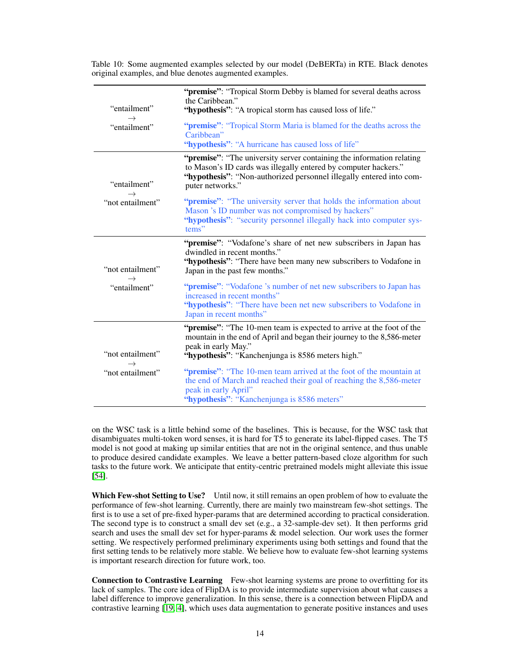|                               | "premise": "Tropical Storm Debby is blamed for several deaths across<br>the Caribbean."                                                                                                                                             |
|-------------------------------|-------------------------------------------------------------------------------------------------------------------------------------------------------------------------------------------------------------------------------------|
| "entailment"<br>$\rightarrow$ | "hypothesis": "A tropical storm has caused loss of life."                                                                                                                                                                           |
| "entailment"                  | " <b>premise</b> ": "Tropical Storm Maria is blamed for the deaths across the<br>Caribbean"<br>"hypothesis": "A hurricane has caused loss of life"                                                                                  |
| "entailment"                  | "premise": "The university server containing the information relating<br>to Mason's ID cards was illegally entered by computer hackers."<br>"hypothesis": "Non-authorized personnel illegally entered into com-<br>puter networks." |
| "not entailment"              | " <b>premise</b> ": "The university server that holds the information about<br>Mason 's ID number was not compromised by hackers"<br>"hypothesis": "security personnel illegally hack into computer sys-<br>tems"                   |
| "not entailment"              | "premise": "Vodafone's share of net new subscribers in Japan has<br>dwindled in recent months."<br>"hypothesis": "There have been many new subscribers to Vodafone in<br>Japan in the past few months."                             |
| "entailment"                  | " <b>premise</b> ": "Vodafone 's number of net new subscribers to Japan has<br>increased in recent months"<br>"hypothesis": "There have been net new subscribers to Vodafone in<br>Japan in recent months"                          |
| "not entailment"              | "premise": "The 10-men team is expected to arrive at the foot of the<br>mountain in the end of April and began their journey to the 8,586-meter<br>peak in early May."<br>"hypothesis": "Kanchenjunga is 8586 meters high."         |
| "not entailment"              | " <b>premise</b> ": "The 10-men team arrived at the foot of the mountain at<br>the end of March and reached their goal of reaching the 8,586-meter<br>peak in early April"<br>"hypothesis": "Kanchenjunga is 8586 meters"           |

<span id="page-13-0"></span>Table 10: Some augmented examples selected by our model (DeBERTa) in RTE. Black denotes original examples, and blue denotes augmented examples.

on the WSC task is a little behind some of the baselines. This is because, for the WSC task that disambiguates multi-token word senses, it is hard for T5 to generate its label-flipped cases. The T5 model is not good at making up similar entities that are not in the original sentence, and thus unable to produce desired candidate examples. We leave a better pattern-based cloze algorithm for such tasks to the future work. We anticipate that entity-centric pretrained models might alleviate this issue [\[54\]](#page-17-16).

Which Few-shot Setting to Use? Until now, it still remains an open problem of how to evaluate the performance of few-shot learning. Currently, there are mainly two mainstream few-shot settings. The first is to use a set of pre-fixed hyper-params that are determined according to practical consideration. The second type is to construct a small dev set (e.g., a 32-sample-dev set). It then performs grid search and uses the small dev set for hyper-params & model selection. Our work uses the former setting. We respectively performed preliminary experiments using both settings and found that the first setting tends to be relatively more stable. We believe how to evaluate few-shot learning systems is important research direction for future work, too.

Connection to Contrastive Learning Few-shot learning systems are prone to overfitting for its lack of samples. The core idea of FlipDA is to provide intermediate supervision about what causes a label difference to improve generalization. In this sense, there is a connection between FlipDA and contrastive learning [\[19,](#page-15-19) [4\]](#page-14-8), which uses data augmentation to generate positive instances and uses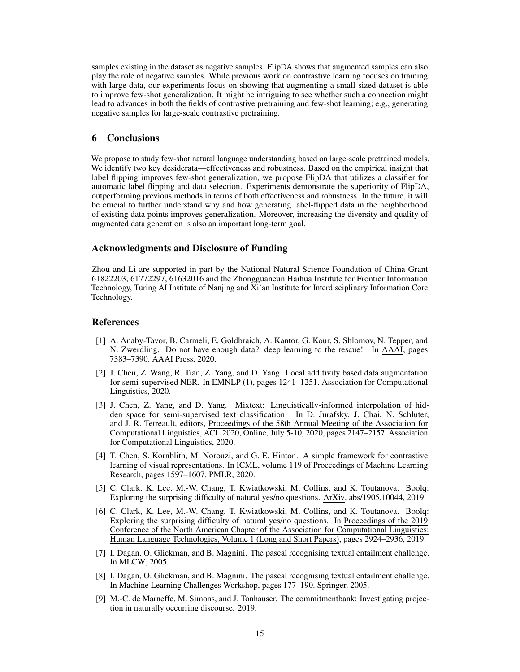samples existing in the dataset as negative samples. FlipDA shows that augmented samples can also play the role of negative samples. While previous work on contrastive learning focuses on training with large data, our experiments focus on showing that augmenting a small-sized dataset is able to improve few-shot generalization. It might be intriguing to see whether such a connection might lead to advances in both the fields of contrastive pretraining and few-shot learning; e.g., generating negative samples for large-scale contrastive pretraining.

### 6 Conclusions

We propose to study few-shot natural language understanding based on large-scale pretrained models. We identify two key desiderata—effectiveness and robustness. Based on the empirical insight that label flipping improves few-shot generalization, we propose FlipDA that utilizes a classifier for automatic label flipping and data selection. Experiments demonstrate the superiority of FlipDA, outperforming previous methods in terms of both effectiveness and robustness. In the future, it will be crucial to further understand why and how generating label-flipped data in the neighborhood of existing data points improves generalization. Moreover, increasing the diversity and quality of augmented data generation is also an important long-term goal.

### Acknowledgments and Disclosure of Funding

Zhou and Li are supported in part by the National Natural Science Foundation of China Grant 61822203, 61772297, 61632016 and the Zhongguancun Haihua Institute for Frontier Information Technology, Turing AI Institute of Nanjing and Xi'an Institute for Interdisciplinary Information Core Technology.

### References

- <span id="page-14-2"></span>[1] A. Anaby-Tavor, B. Carmeli, E. Goldbraich, A. Kantor, G. Kour, S. Shlomov, N. Tepper, and N. Zwerdling. Do not have enough data? deep learning to the rescue! In AAAI, pages 7383–7390. AAAI Press, 2020.
- <span id="page-14-1"></span>[2] J. Chen, Z. Wang, R. Tian, Z. Yang, and D. Yang. Local additivity based data augmentation for semi-supervised NER. In EMNLP (1), pages 1241–1251. Association for Computational Linguistics, 2020.
- <span id="page-14-0"></span>[3] J. Chen, Z. Yang, and D. Yang. Mixtext: Linguistically-informed interpolation of hidden space for semi-supervised text classification. In D. Jurafsky, J. Chai, N. Schluter, and J. R. Tetreault, editors, Proceedings of the 58th Annual Meeting of the Association for Computational Linguistics, ACL 2020, Online, July 5-10, 2020, pages 2147–2157. Association for Computational Linguistics, 2020.
- <span id="page-14-8"></span>[4] T. Chen, S. Kornblith, M. Norouzi, and G. E. Hinton. A simple framework for contrastive learning of visual representations. In ICML, volume 119 of Proceedings of Machine Learning Research, pages 1597–1607. PMLR, 2020.
- <span id="page-14-5"></span>[5] C. Clark, K. Lee, M.-W. Chang, T. Kwiatkowski, M. Collins, and K. Toutanova. Boolq: Exploring the surprising difficulty of natural yes/no questions. ArXiv, abs/1905.10044, 2019.
- <span id="page-14-6"></span>[6] C. Clark, K. Lee, M.-W. Chang, T. Kwiatkowski, M. Collins, and K. Toutanova. Boolq: Exploring the surprising difficulty of natural yes/no questions. In Proceedings of the 2019 Conference of the North American Chapter of the Association for Computational Linguistics: Human Language Technologies, Volume 1 (Long and Short Papers), pages 2924–2936, 2019.
- <span id="page-14-4"></span>[7] I. Dagan, O. Glickman, and B. Magnini. The pascal recognising textual entailment challenge. In MLCW, 2005.
- <span id="page-14-7"></span>[8] I. Dagan, O. Glickman, and B. Magnini. The pascal recognising textual entailment challenge. In Machine Learning Challenges Workshop, pages 177–190. Springer, 2005.
- <span id="page-14-3"></span>[9] M.-C. de Marneffe, M. Simons, and J. Tonhauser. The commitmentbank: Investigating projection in naturally occurring discourse. 2019.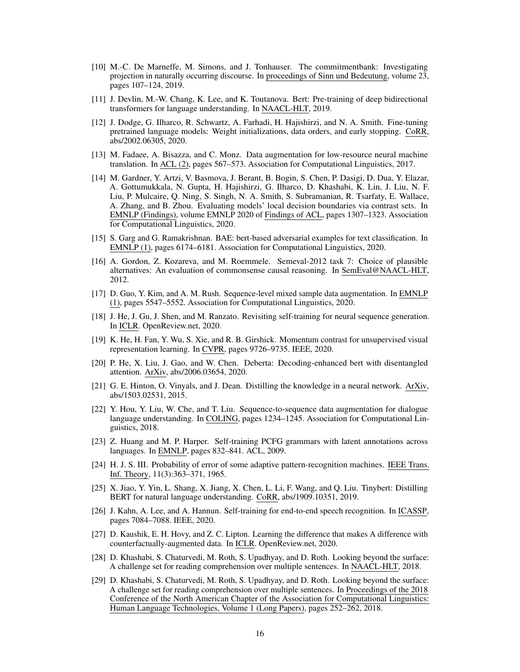- <span id="page-15-16"></span>[10] M.-C. De Marneffe, M. Simons, and J. Tonhauser. The commitmentbank: Investigating projection in naturally occurring discourse. In proceedings of Sinn und Bedeutung, volume 23, pages 107–124, 2019.
- <span id="page-15-14"></span>[11] J. Devlin, M.-W. Chang, K. Lee, and K. Toutanova. Bert: Pre-training of deep bidirectional transformers for language understanding. In NAACL-HLT, 2019.
- <span id="page-15-18"></span>[12] J. Dodge, G. Ilharco, R. Schwartz, A. Farhadi, H. Hajishirzi, and N. A. Smith. Fine-tuning pretrained language models: Weight initializations, data orders, and early stopping. CoRR, abs/2002.06305, 2020.
- <span id="page-15-0"></span>[13] M. Fadaee, A. Bisazza, and C. Monz. Data augmentation for low-resource neural machine translation. In ACL (2), pages 567–573. Association for Computational Linguistics, 2017.
- <span id="page-15-11"></span>[14] M. Gardner, Y. Artzi, V. Basmova, J. Berant, B. Bogin, S. Chen, P. Dasigi, D. Dua, Y. Elazar, A. Gottumukkala, N. Gupta, H. Hajishirzi, G. Ilharco, D. Khashabi, K. Lin, J. Liu, N. F. Liu, P. Mulcaire, Q. Ning, S. Singh, N. A. Smith, S. Subramanian, R. Tsarfaty, E. Wallace, A. Zhang, and B. Zhou. Evaluating models' local decision boundaries via contrast sets. In EMNLP (Findings), volume EMNLP 2020 of Findings of ACL, pages 1307–1323. Association for Computational Linguistics, 2020.
- <span id="page-15-9"></span>[15] S. Garg and G. Ramakrishnan. BAE: bert-based adversarial examples for text classification. In EMNLP (1), pages 6174–6181. Association for Computational Linguistics, 2020.
- <span id="page-15-12"></span>[16] A. Gordon, Z. Kozareva, and M. Roemmele. Semeval-2012 task 7: Choice of plausible alternatives: An evaluation of commonsense causal reasoning. In SemEval@NAACL-HLT, 2012.
- <span id="page-15-2"></span>[17] D. Guo, Y. Kim, and A. M. Rush. Sequence-level mixed sample data augmentation. In EMNLP (1), pages 5547–5552. Association for Computational Linguistics, 2020.
- <span id="page-15-6"></span>[18] J. He, J. Gu, J. Shen, and M. Ranzato. Revisiting self-training for neural sequence generation. In ICLR. OpenReview.net, 2020.
- <span id="page-15-19"></span>[19] K. He, H. Fan, Y. Wu, S. Xie, and R. B. Girshick. Momentum contrast for unsupervised visual representation learning. In CVPR, pages 9726–9735. IEEE, 2020.
- <span id="page-15-1"></span>[20] P. He, X. Liu, J. Gao, and W. Chen. Deberta: Decoding-enhanced bert with disentangled attention. ArXiv, abs/2006.03654, 2020.
- <span id="page-15-8"></span>[21] G. E. Hinton, O. Vinyals, and J. Dean. Distilling the knowledge in a neural network. ArXiv, abs/1503.02531, 2015.
- <span id="page-15-3"></span>[22] Y. Hou, Y. Liu, W. Che, and T. Liu. Sequence-to-sequence data augmentation for dialogue language understanding. In COLING, pages 1234–1245. Association for Computational Linguistics, 2018.
- <span id="page-15-5"></span>[23] Z. Huang and M. P. Harper. Self-training PCFG grammars with latent annotations across languages. In EMNLP, pages 832–841. ACL, 2009.
- <span id="page-15-4"></span>[24] H. J. S. III. Probability of error of some adaptive pattern-recognition machines. IEEE Trans. Inf. Theory, 11(3):363–371, 1965.
- <span id="page-15-17"></span>[25] X. Jiao, Y. Yin, L. Shang, X. Jiang, X. Chen, L. Li, F. Wang, and Q. Liu. Tinybert: Distilling BERT for natural language understanding. CoRR, abs/1909.10351, 2019.
- <span id="page-15-7"></span>[26] J. Kahn, A. Lee, and A. Hannun. Self-training for end-to-end speech recognition. In ICASSP, pages 7084–7088. IEEE, 2020.
- <span id="page-15-10"></span>[27] D. Kaushik, E. H. Hovy, and Z. C. Lipton. Learning the difference that makes A difference with counterfactually-augmented data. In ICLR. OpenReview.net, 2020.
- <span id="page-15-13"></span>[28] D. Khashabi, S. Chaturvedi, M. Roth, S. Upadhyay, and D. Roth. Looking beyond the surface: A challenge set for reading comprehension over multiple sentences. In NAACL-HLT, 2018.
- <span id="page-15-15"></span>[29] D. Khashabi, S. Chaturvedi, M. Roth, S. Upadhyay, and D. Roth. Looking beyond the surface: A challenge set for reading comprehension over multiple sentences. In Proceedings of the 2018 Conference of the North American Chapter of the Association for Computational Linguistics: Human Language Technologies, Volume 1 (Long Papers), pages 252–262, 2018.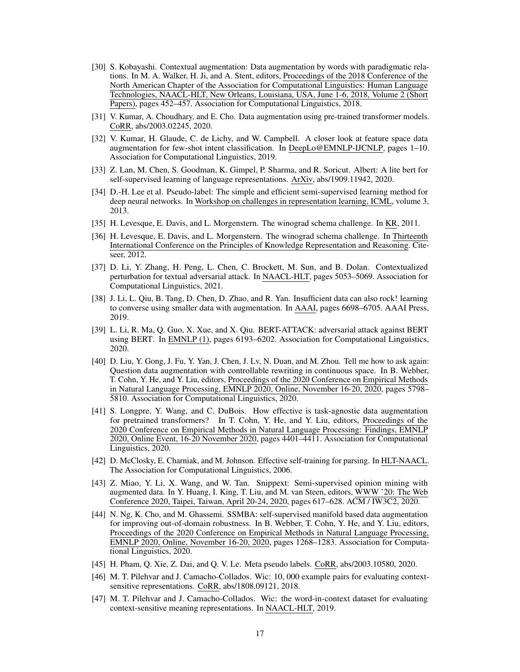- <span id="page-16-0"></span>[30] S. Kobayashi. Contextual augmentation: Data augmentation by words with paradigmatic relations. In M. A. Walker, H. Ji, and A. Stent, editors, Proceedings of the 2018 Conference of the North American Chapter of the Association for Computational Linguistics: Human Language Technologies, NAACL-HLT, New Orleans, Louisiana, USA, June 1-6, 2018, Volume 2 (Short Papers), pages 452–457. Association for Computational Linguistics, 2018.
- <span id="page-16-7"></span>[31] V. Kumar, A. Choudhary, and E. Cho. Data augmentation using pre-trained transformer models. CoRR, abs/2003.02245, 2020.
- <span id="page-16-3"></span>[32] V. Kumar, H. Glaude, C. de Lichy, and W. Campbell. A closer look at feature space data augmentation for few-shot intent classification. In DeepLo@EMNLP-IJCNLP, pages 1–10. Association for Computational Linguistics, 2019.
- <span id="page-16-15"></span>[33] Z. Lan, M. Chen, S. Goodman, K. Gimpel, P. Sharma, and R. Soricut. Albert: A lite bert for self-supervised learning of language representations. ArXiv, abs/1909.11942, 2020.
- <span id="page-16-9"></span>[34] D.-H. Lee et al. Pseudo-label: The simple and efficient semi-supervised learning method for deep neural networks. In Workshop on challenges in representation learning, ICML, volume 3, 2013.
- <span id="page-16-13"></span>[35] H. Levesque, E. Davis, and L. Morgenstern. The winograd schema challenge. In KR, 2011.
- <span id="page-16-17"></span>[36] H. Levesque, E. Davis, and L. Morgenstern. The winograd schema challenge. In Thirteenth International Conference on the Principles of Knowledge Representation and Reasoning. Citeseer, 2012.
- <span id="page-16-12"></span>[37] D. Li, Y. Zhang, H. Peng, L. Chen, C. Brockett, M. Sun, and B. Dolan. Contextualized perturbation for textual adversarial attack. In NAACL-HLT, pages 5053–5069. Association for Computational Linguistics, 2021.
- <span id="page-16-4"></span>[38] J. Li, L. Qiu, B. Tang, D. Chen, D. Zhao, and R. Yan. Insufficient data can also rock! learning to converse using smaller data with augmentation. In AAAI, pages 6698–6705. AAAI Press, 2019.
- <span id="page-16-11"></span>[39] L. Li, R. Ma, Q. Guo, X. Xue, and X. Qiu. BERT-ATTACK: adversarial attack against BERT using BERT. In EMNLP (1), pages 6193–6202. Association for Computational Linguistics, 2020.
- <span id="page-16-6"></span>[40] D. Liu, Y. Gong, J. Fu, Y. Yan, J. Chen, J. Lv, N. Duan, and M. Zhou. Tell me how to ask again: Question data augmentation with controllable rewriting in continuous space. In B. Webber, T. Cohn, Y. He, and Y. Liu, editors, Proceedings of the 2020 Conference on Empirical Methods in Natural Language Processing, EMNLP 2020, Online, November 16-20, 2020, pages 5798– 5810. Association for Computational Linguistics, 2020.
- <span id="page-16-1"></span>[41] S. Longpre, Y. Wang, and C. DuBois. How effective is task-agnostic data augmentation for pretrained transformers? In T. Cohn, Y. He, and Y. Liu, editors, Proceedings of the 2020 Conference on Empirical Methods in Natural Language Processing: Findings, EMNLP 2020, Online Event, 16-20 November 2020, pages 4401–4411. Association for Computational Linguistics, 2020.
- <span id="page-16-8"></span>[42] D. McClosky, E. Charniak, and M. Johnson. Effective self-training for parsing. In HLT-NAACL. The Association for Computational Linguistics, 2006.
- <span id="page-16-2"></span>[43] Z. Miao, Y. Li, X. Wang, and W. Tan. Snippext: Semi-supervised opinion mining with augmented data. In Y. Huang, I. King, T. Liu, and M. van Steen, editors, WWW '20: The Web Conference 2020, Taipei, Taiwan, April 20-24, 2020, pages 617–628. ACM / IW3C2, 2020.
- <span id="page-16-5"></span>[44] N. Ng, K. Cho, and M. Ghassemi. SSMBA: self-supervised manifold based data augmentation for improving out-of-domain robustness. In B. Webber, T. Cohn, Y. He, and Y. Liu, editors, Proceedings of the 2020 Conference on Empirical Methods in Natural Language Processing, EMNLP 2020, Online, November 16-20, 2020, pages 1268–1283. Association for Computational Linguistics, 2020.
- <span id="page-16-10"></span>[45] H. Pham, Q. Xie, Z. Dai, and Q. V. Le. Meta pseudo labels. CoRR, abs/2003.10580, 2020.
- <span id="page-16-16"></span>[46] M. T. Pilehvar and J. Camacho-Collados. Wic: 10, 000 example pairs for evaluating contextsensitive representations. CoRR, abs/1808.09121, 2018.
- <span id="page-16-14"></span>[47] M. T. Pilehvar and J. Camacho-Collados. Wic: the word-in-context dataset for evaluating context-sensitive meaning representations. In NAACL-HLT, 2019.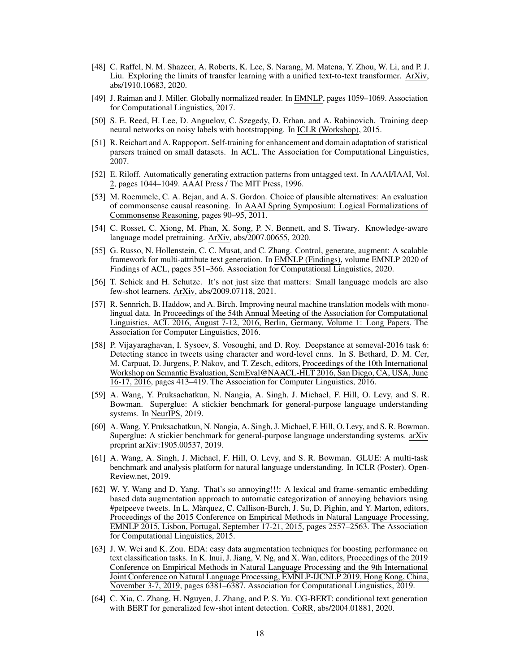- <span id="page-17-5"></span>[48] C. Raffel, N. M. Shazeer, A. Roberts, K. Lee, S. Narang, M. Matena, Y. Zhou, W. Li, and P. J. Liu. Exploring the limits of transfer learning with a unified text-to-text transformer. ArXiv, abs/1910.10683, 2020.
- <span id="page-17-7"></span>[49] J. Raiman and J. Miller. Globally normalized reader. In EMNLP, pages 1059–1069. Association for Computational Linguistics, 2017.
- <span id="page-17-12"></span>[50] S. E. Reed, H. Lee, D. Anguelov, C. Szegedy, D. Erhan, and A. Rabinovich. Training deep neural networks on noisy labels with bootstrapping. In ICLR (Workshop), 2015.
- <span id="page-17-11"></span>[51] R. Reichart and A. Rappoport. Self-training for enhancement and domain adaptation of statistical parsers trained on small datasets. In ACL. The Association for Computational Linguistics, 2007.
- <span id="page-17-10"></span>[52] E. Riloff. Automatically generating extraction patterns from untagged text. In AAAI/IAAI, Vol. 2, pages 1044–1049. AAAI Press / The MIT Press, 1996.
- <span id="page-17-15"></span>[53] M. Roemmele, C. A. Bejan, and A. S. Gordon. Choice of plausible alternatives: An evaluation of commonsense causal reasoning. In AAAI Spring Symposium: Logical Formalizations of Commonsense Reasoning, pages 90–95, 2011.
- <span id="page-17-16"></span>[54] C. Rosset, C. Xiong, M. Phan, X. Song, P. N. Bennett, and S. Tiwary. Knowledge-aware language model pretraining. ArXiv, abs/2007.00655, 2020.
- <span id="page-17-9"></span>[55] G. Russo, N. Hollenstein, C. C. Musat, and C. Zhang. Control, generate, augment: A scalable framework for multi-attribute text generation. In EMNLP (Findings), volume EMNLP 2020 of Findings of ACL, pages 351–366. Association for Computational Linguistics, 2020.
- <span id="page-17-4"></span>[56] T. Schick and H. Schutze. It's not just size that matters: Small language models are also few-shot learners. ArXiv, abs/2009.07118, 2021.
- <span id="page-17-2"></span>[57] R. Sennrich, B. Haddow, and A. Birch. Improving neural machine translation models with monolingual data. In Proceedings of the 54th Annual Meeting of the Association for Computational Linguistics, ACL 2016, August 7-12, 2016, Berlin, Germany, Volume 1: Long Papers. The Association for Computer Linguistics, 2016.
- <span id="page-17-6"></span>[58] P. Vijayaraghavan, I. Sysoev, S. Vosoughi, and D. Roy. Deepstance at semeval-2016 task 6: Detecting stance in tweets using character and word-level cnns. In S. Bethard, D. M. Cer, M. Carpuat, D. Jurgens, P. Nakov, and T. Zesch, editors, Proceedings of the 10th International Workshop on Semantic Evaluation, SemEval@NAACL-HLT 2016, San Diego, CA, USA, June 16-17, 2016, pages 413–419. The Association for Computer Linguistics, 2016.
- <span id="page-17-3"></span>[59] A. Wang, Y. Pruksachatkun, N. Nangia, A. Singh, J. Michael, F. Hill, O. Levy, and S. R. Bowman. Superglue: A stickier benchmark for general-purpose language understanding systems. In NeurIPS, 2019.
- <span id="page-17-13"></span>[60] A. Wang, Y. Pruksachatkun, N. Nangia, A. Singh, J. Michael, F. Hill, O. Levy, and S. R. Bowman. Superglue: A stickier benchmark for general-purpose language understanding systems. arXiv preprint arXiv:1905.00537, 2019.
- <span id="page-17-14"></span>[61] A. Wang, A. Singh, J. Michael, F. Hill, O. Levy, and S. R. Bowman. GLUE: A multi-task benchmark and analysis platform for natural language understanding. In ICLR (Poster). Open-Review.net, 2019.
- <span id="page-17-0"></span>[62] W. Y. Wang and D. Yang. That's so annoying!!!: A lexical and frame-semantic embedding based data augmentation approach to automatic categorization of annoying behaviors using #petpeeve tweets. In L. Màrquez, C. Callison-Burch, J. Su, D. Pighin, and Y. Marton, editors, Proceedings of the 2015 Conference on Empirical Methods in Natural Language Processing, EMNLP 2015, Lisbon, Portugal, September 17-21, 2015, pages 2557–2563. The Association for Computational Linguistics, 2015.
- <span id="page-17-1"></span>[63] J. W. Wei and K. Zou. EDA: easy data augmentation techniques for boosting performance on text classification tasks. In K. Inui, J. Jiang, V. Ng, and X. Wan, editors, Proceedings of the 2019 Conference on Empirical Methods in Natural Language Processing and the 9th International Joint Conference on Natural Language Processing, EMNLP-IJCNLP 2019, Hong Kong, China, November 3-7, 2019, pages 6381–6387. Association for Computational Linguistics, 2019.
- <span id="page-17-8"></span>[64] C. Xia, C. Zhang, H. Nguyen, J. Zhang, and P. S. Yu. CG-BERT: conditional text generation with BERT for generalized few-shot intent detection. CoRR, abs/2004.01881, 2020.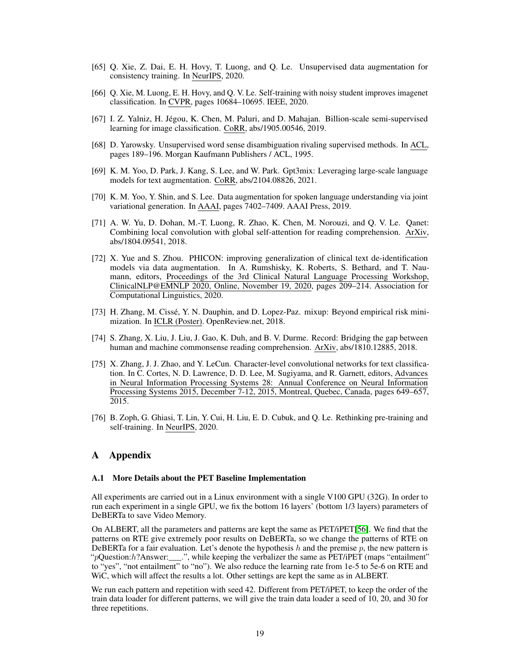- <span id="page-18-1"></span>[65] Q. Xie, Z. Dai, E. H. Hovy, T. Luong, and Q. Le. Unsupervised data augmentation for consistency training. In NeurIPS, 2020.
- <span id="page-18-10"></span>[66] Q. Xie, M. Luong, E. H. Hovy, and Q. V. Le. Self-training with noisy student improves imagenet classification. In CVPR, pages 10684–10695. IEEE, 2020.
- <span id="page-18-8"></span>[67] I. Z. Yalniz, H. Jégou, K. Chen, M. Paluri, and D. Mahajan. Billion-scale semi-supervised learning for image classification. CoRR, abs/1905.00546, 2019.
- <span id="page-18-7"></span>[68] D. Yarowsky. Unsupervised word sense disambiguation rivaling supervised methods. In ACL, pages 189–196. Morgan Kaufmann Publishers / ACL, 1995.
- <span id="page-18-6"></span>[69] K. M. Yoo, D. Park, J. Kang, S. Lee, and W. Park. Gpt3mix: Leveraging large-scale language models for text augmentation. CoRR, abs/2104.08826, 2021.
- <span id="page-18-5"></span>[70] K. M. Yoo, Y. Shin, and S. Lee. Data augmentation for spoken language understanding via joint variational generation. In AAAI, pages 7402–7409. AAAI Press, 2019.
- <span id="page-18-3"></span>[71] A. W. Yu, D. Dohan, M.-T. Luong, R. Zhao, K. Chen, M. Norouzi, and Q. V. Le. Qanet: Combining local convolution with global self-attention for reading comprehension. ArXiv, abs/1804.09541, 2018.
- <span id="page-18-2"></span>[72] X. Yue and S. Zhou. PHICON: improving generalization of clinical text de-identification models via data augmentation. In A. Rumshisky, K. Roberts, S. Bethard, and T. Naumann, editors, Proceedings of the 3rd Clinical Natural Language Processing Workshop, ClinicalNLP@EMNLP 2020, Online, November 19, 2020, pages 209–214. Association for Computational Linguistics, 2020.
- <span id="page-18-4"></span>[73] H. Zhang, M. Cissé, Y. N. Dauphin, and D. Lopez-Paz. mixup: Beyond empirical risk minimization. In ICLR (Poster). OpenReview.net, 2018.
- <span id="page-18-11"></span>[74] S. Zhang, X. Liu, J. Liu, J. Gao, K. Duh, and B. V. Durme. Record: Bridging the gap between human and machine commonsense reading comprehension. ArXiv, abs/1810.12885, 2018.
- <span id="page-18-0"></span>[75] X. Zhang, J. J. Zhao, and Y. LeCun. Character-level convolutional networks for text classification. In C. Cortes, N. D. Lawrence, D. D. Lee, M. Sugiyama, and R. Garnett, editors, Advances in Neural Information Processing Systems 28: Annual Conference on Neural Information Processing Systems 2015, December 7-12, 2015, Montreal, Quebec, Canada, pages 649–657, 2015.
- <span id="page-18-9"></span>[76] B. Zoph, G. Ghiasi, T. Lin, Y. Cui, H. Liu, E. D. Cubuk, and Q. Le. Rethinking pre-training and self-training. In NeurIPS, 2020.

### A Appendix

#### <span id="page-18-12"></span>A.1 More Details about the PET Baseline Implementation

All experiments are carried out in a Linux environment with a single V100 GPU (32G). In order to run each experiment in a single GPU, we fix the bottom 16 layers' (bottom 1/3 layers) parameters of DeBERTa to save Video Memory.

On ALBERT, all the parameters and patterns are kept the same as PET/iPET[\[56\]](#page-17-4). We find that the patterns on RTE give extremely poor results on DeBERTa, so we change the patterns of RTE on DeBERTa for a fair evaluation. Let's denote the hypothesis h and the premise  $p$ , the new pattern is "pQuestion:h?Answer:\_\_\_.", while keeping the verbalizer the same as PET/iPET (maps "entailment" to "yes", "not entailment" to "no"). We also reduce the learning rate from 1e-5 to 5e-6 on RTE and WiC, which will affect the results a lot. Other settings are kept the same as in ALBERT.

We run each pattern and repetition with seed 42. Different from PET/iPET, to keep the order of the train data loader for different patterns, we will give the train data loader a seed of 10, 20, and 30 for three repetitions.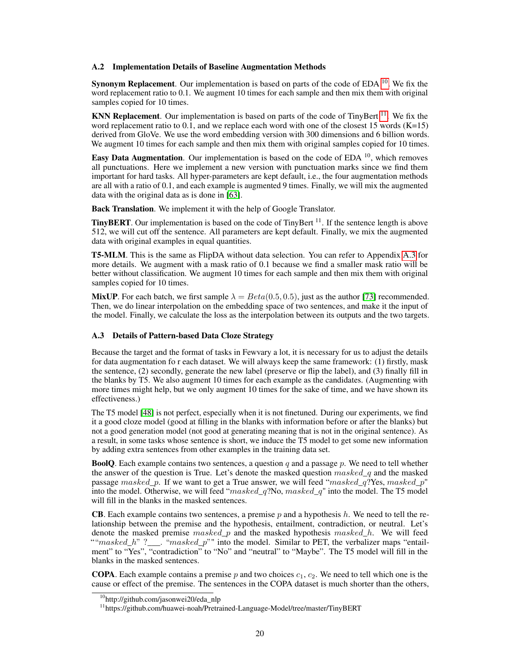### <span id="page-19-1"></span>A.2 Implementation Details of Baseline Augmentation Methods

Synonym Replacement. Our implementation is based on parts of the code of EDA  $10$ . We fix the word replacement ratio to 0.1. We augment 10 times for each sample and then mix them with original samples copied for 10 times.

**KNN Replacement.** Our implementation is based on parts of the code of TinyBert  $^{11}$  $^{11}$  $^{11}$ . We fix the word replacement ratio to  $0.\dot{1}$ , and we replace each word with one of the closest 15 words (K=15) derived from GloVe. We use the word embedding version with 300 dimensions and 6 billion words. We augment 10 times for each sample and then mix them with original samples copied for 10 times.

Easy Data Augmentation. Our implementation is based on the code of EDA  $^{10}$ , which removes all punctuations. Here we implement a new version with punctuation marks since we find them important for hard tasks. All hyper-parameters are kept default, i.e., the four augmentation methods are all with a ratio of 0.1, and each example is augmented 9 times. Finally, we will mix the augmented data with the original data as is done in [\[63\]](#page-17-1).

Back Translation. We implement it with the help of Google Translator.

**TinyBERT**. Our implementation is based on the code of TinyBert  $11$ . If the sentence length is above 512, we will cut off the sentence. All parameters are kept default. Finally, we mix the augmented data with original examples in equal quantities.

T5-MLM. This is the same as FlipDA without data selection. You can refer to Appendix [A.3](#page-19-0) for more details. We augment with a mask ratio of 0.1 because we find a smaller mask ratio will be better without classification. We augment 10 times for each sample and then mix them with original samples copied for 10 times.

**MixUP**. For each batch, we first sample  $\lambda = Beta(0.5, 0.5)$ , just as the author [\[73\]](#page-18-4) recommended. Then, we do linear interpolation on the embedding space of two sentences, and make it the input of the model. Finally, we calculate the loss as the interpolation between its outputs and the two targets.

#### <span id="page-19-0"></span>A.3 Details of Pattern-based Data Cloze Strategy

Because the target and the format of tasks in Fewvary a lot, it is necessary for us to adjust the details for data augmentation fo r each dataset. We will always keep the same framework: (1) firstly, mask the sentence, (2) secondly, generate the new label (preserve or flip the label), and (3) finally fill in the blanks by T5. We also augment 10 times for each example as the candidates. (Augmenting with more times might help, but we only augment 10 times for the sake of time, and we have shown its effectiveness.)

The T5 model [\[48\]](#page-17-5) is not perfect, especially when it is not finetuned. During our experiments, we find it a good cloze model (good at filling in the blanks with information before or after the blanks) but not a good generation model (not good at generating meaning that is not in the original sentence). As a result, in some tasks whose sentence is short, we induce the T5 model to get some new information by adding extra sentences from other examples in the training data set.

**BoolO**. Each example contains two sentences, a question q and a passage p. We need to tell whether the answer of the question is True. Let's denote the masked question  $masked\ q$  and the masked passage masked p. If we want to get a True answer, we will feed "masked q?Yes, masked p" into the model. Otherwise, we will feed " $masked\ q$ ?No,  $masked\ q$ " into the model. The T5 model will fill in the blanks in the masked sentences.

**CB**. Each example contains two sentences, a premise p and a hypothesis  $h$ . We need to tell the relationship between the premise and the hypothesis, entailment, contradiction, or neutral. Let's denote the masked premise masked p and the masked hypothesis masked  $h$ . We will feed "" $masked_h$ " ?\_\_\_. " $masked_p$ "" into the model. Similar to PET, the verbalizer maps "entailment" to "Yes", "contradiction" to "No" and "neutral" to "Maybe". The T5 model will fill in the blanks in the masked sentences.

**COPA**. Each example contains a premise p and two choices  $c_1$ ,  $c_2$ . We need to tell which one is the cause or effect of the premise. The sentences in the COPA dataset is much shorter than the others,

<span id="page-19-2"></span><sup>&</sup>lt;sup>10</sup>http://github.com/jasonwei20/eda\_nlp

<span id="page-19-3"></span><sup>&</sup>lt;sup>11</sup>https://github.com/huawei-noah/Pretrained-Language-Model/tree/master/TinyBERT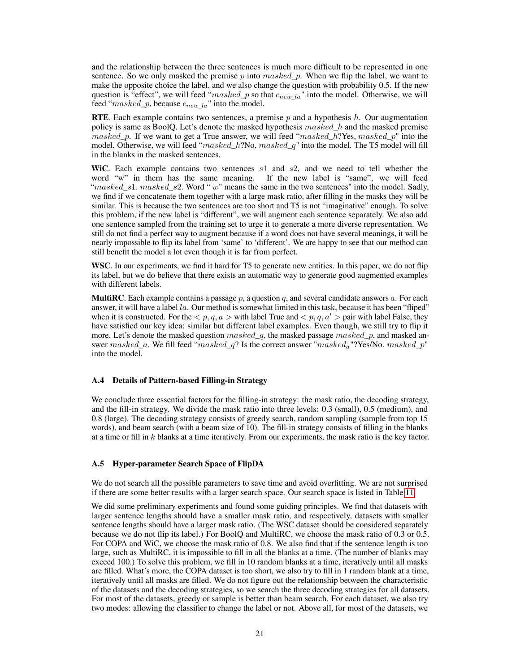and the relationship between the three sentences is much more difficult to be represented in one sentence. So we only masked the premise p into masked p. When we flip the label, we want to make the opposite choice the label, and we also change the question with probability 0.5. If the new question is "effect", we will feed " $masked\_p$  so that  $c_{new\_la}$ " into the model. Otherwise, we will feed " $masked\_p$ , because  $c_{new\_la}$ " into the model.

**RTE.** Each example contains two sentences, a premise p and a hypothesis h. Our augmentation policy is same as BoolQ. Let's denote the masked hypothesis  $masked$  h and the masked premise  $masked_p$ . If we want to get a True answer, we will feed " $masked_h$ ?Yes,  $masked_p$ " into the model. Otherwise, we will feed " $masked\_h$ ?No,  $masked\_q$ " into the model. The T5 model will fill in the blanks in the masked sentences.

WiC. Each example contains two sentences  $s1$  and  $s2$ , and we need to tell whether the word "w" in them has the same meaning. If the new label is "same", we will feed " $masked\_s1.$   $masked\_s2.$  Word "  $w$ " means the same in the two sentences" into the model. Sadly, we find if we concatenate them together with a large mask ratio, after filling in the masks they will be similar. This is because the two sentences are too short and T5 is not "imaginative" enough. To solve this problem, if the new label is "different", we will augment each sentence separately. We also add one sentence sampled from the training set to urge it to generate a more diverse representation. We still do not find a perfect way to augment because if a word does not have several meanings, it will be nearly impossible to flip its label from 'same' to 'different'. We are happy to see that our method can still benefit the model a lot even though it is far from perfect.

WSC. In our experiments, we find it hard for T5 to generate new entities. In this paper, we do not flip its label, but we do believe that there exists an automatic way to generate good augmented examples with different labels.

**MultiRC**. Each example contains a passage  $p$ , a question  $q$ , and several candidate answers  $a$ . For each answer, it will have a label  $la$ . Our method is somewhat limited in this task, because it has been "fliped" when it is constructed. For the  $\langle p, q, a \rangle$  with label True and  $\langle p, q, a' \rangle$  pair with label False, they have satisfied our key idea: similar but different label examples. Even though, we still try to flip it more. Let's denote the masked question  $masked_q$ , the masked passage  $masked_p$ , and masked answer  $masked\_a$ . We fill feed " $masked\_q$ ? Is the correct answer " $masked\_"$ ?Yes/No.  $masked\_p$ " into the model.

### A.4 Details of Pattern-based Filling-in Strategy

We conclude three essential factors for the filling-in strategy: the mask ratio, the decoding strategy, and the fill-in strategy. We divide the mask ratio into three levels: 0.3 (small), 0.5 (medium), and 0.8 (large). The decoding strategy consists of greedy search, random sampling (sample from top 15 words), and beam search (with a beam size of 10). The fill-in strategy consists of filling in the blanks at a time or fill in k blanks at a time iteratively. From our experiments, the mask ratio is the key factor.

### A.5 Hyper-parameter Search Space of FlipDA

We do not search all the possible parameters to save time and avoid overfitting. We are not surprised if there are some better results with a larger search space. Our search space is listed in Table [11.](#page-21-2)

We did some preliminary experiments and found some guiding principles. We find that datasets with larger sentence lengths should have a smaller mask ratio, and respectively, datasets with smaller sentence lengths should have a larger mask ratio. (The WSC dataset should be considered separately because we do not flip its label.) For BoolQ and MultiRC, we choose the mask ratio of 0.3 or 0.5. For COPA and WiC, we choose the mask ratio of 0.8. We also find that if the sentence length is too large, such as MultiRC, it is impossible to fill in all the blanks at a time. (The number of blanks may exceed 100.) To solve this problem, we fill in 10 random blanks at a time, iteratively until all masks are filled. What's more, the COPA dataset is too short, we also try to fill in 1 random blank at a time, iteratively until all masks are filled. We do not figure out the relationship between the characteristic of the datasets and the decoding strategies, so we search the three decoding strategies for all datasets. For most of the datasets, greedy or sample is better than beam search. For each dataset, we also try two modes: allowing the classifier to change the label or not. Above all, for most of the datasets, we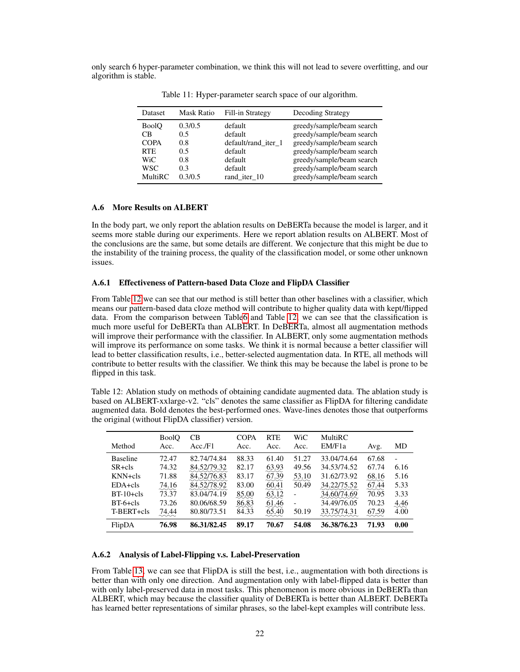only search 6 hyper-parameter combination, we think this will not lead to severe overfitting, and our algorithm is stable.

| Dataset      | Mask Ratio | Fill-in Strategy    | Decoding Strategy         |
|--------------|------------|---------------------|---------------------------|
| <b>BoolO</b> | 0.3/0.5    | default             | greedy/sample/beam search |
| CB           | 0.5        | default             | greedy/sample/beam search |
| <b>COPA</b>  | 0.8        | default/rand iter 1 | greedy/sample/beam search |
| <b>RTE</b>   | 0.5        | default             | greedy/sample/beam search |
| <b>WiC</b>   | 0.8        | default             | greedy/sample/beam search |
| <b>WSC</b>   | 0.3        | default             | greedy/sample/beam search |
| MultiRC      | 0.3/0.5    | rand iter 10        | greedy/sample/beam search |

<span id="page-21-2"></span>Table 11: Hyper-parameter search space of our algorithm.

### <span id="page-21-0"></span>A.6 More Results on ALBERT

In the body part, we only report the ablation results on DeBERTa because the model is larger, and it seems more stable during our experiments. Here we report ablation results on ALBERT. Most of the conclusions are the same, but some details are different. We conjecture that this might be due to the instability of the training process, the quality of the classification model, or some other unknown issues.

### A.6.1 Effectiveness of Pattern-based Data Cloze and FlipDA Classifier

From Table [12](#page-21-3) we can see that our method is still better than other baselines with a classifier, which means our pattern-based data cloze method will contribute to higher quality data with kept/flipped data. From the comparison between Tabl[e6](#page-9-1) and Table [12,](#page-21-3) we can see that the classification is much more useful for DeBERTa than ALBERT. In DeBERTa, almost all augmentation methods will improve their performance with the classifier. In ALBERT, only some augmentation methods will improve its performance on some tasks. We think it is normal because a better classifier will lead to better classification results, i.e., better-selected augmentation data. In RTE, all methods will contribute to better results with the classifier. We think this may be because the label is prone to be flipped in this task.

<span id="page-21-3"></span>Table 12: Ablation study on methods of obtaining candidate augmented data. The ablation study is based on ALBERT-xxlarge-v2. "cls" denotes the same classifier as FlipDA for filtering candidate augmented data. Bold denotes the best-performed ones. Wave-lines denotes those that outperforms the original (without FlipDA classifier) version.

| Method          | <b>BoolO</b><br>Acc. | CВ<br>Acc.F1 | <b>COPA</b><br>Acc. | <b>RTE</b><br>Acc.  | WiC<br>Acc.              | MultiRC<br>EM/F1a                                        | Avg.  | MD                       |
|-----------------|----------------------|--------------|---------------------|---------------------|--------------------------|----------------------------------------------------------|-------|--------------------------|
| <b>Baseline</b> | 72.47                | 82.74/74.84  | 88.33               | 61.40               | 51.27                    | 33.04/74.64                                              | 67.68 | $\overline{\phantom{a}}$ |
| $SR + cls$      | 74.32                | 84.52/79.32  | 82.17               | 63.93               | 49.56                    | 34.53/74.52                                              | 67.74 | 6.16                     |
| $KNN + cls$     | 71.88                | 84.52/76.83  | 83.17               | 67.39               | 53.10                    | 31.62/73.92                                              | 68.16 | 5.16                     |
| $EDA + cls$     | 74.16                | 84.52/78.92  | 83.00               | 60.41               | 50.49                    | 34.22/75.52<br>$\sim$ $\sim$ $\sim$ $\sim$ $\sim$ $\sim$ | 67.44 | 5.33                     |
| $BT-10+cls$     | 73.37                | 83.04/74.19  | 85.00               | 63.12<br>∼∼∼        | $\overline{\phantom{0}}$ | 34.60/74.69                                              | 70.95 | 3.33                     |
| $BT-6+cls$      | 73.26                | 80.06/68.59  | 86.83               | 61.46               | $\overline{\phantom{a}}$ | 34.49/76.05                                              | 70.23 | 4.46                     |
| T-BERT+cls      | 74.44                | 80.80/73.51  | 84.33               | $\sim\sim$<br>65.40 | 50.19                    | 33.75/74.31                                              | 67.59 | 4.00                     |
| FlipDA          | 76.98                | 86.31/82.45  | 89.17               | 70.67               | 54.08                    | 36.38/76.23                                              | 71.93 | 0.00                     |

### <span id="page-21-1"></span>A.6.2 Analysis of Label-Flipping v.s. Label-Preservation

From Table [13,](#page-22-2) we can see that FlipDA is still the best, i.e., augmentation with both directions is better than with only one direction. And augmentation only with label-flipped data is better than with only label-preserved data in most tasks. This phenomenon is more obvious in DeBERTa than ALBERT, which may because the classifier quality of DeBERTa is better than ALBERT. DeBERTa has learned better representations of similar phrases, so the label-kept examples will contribute less.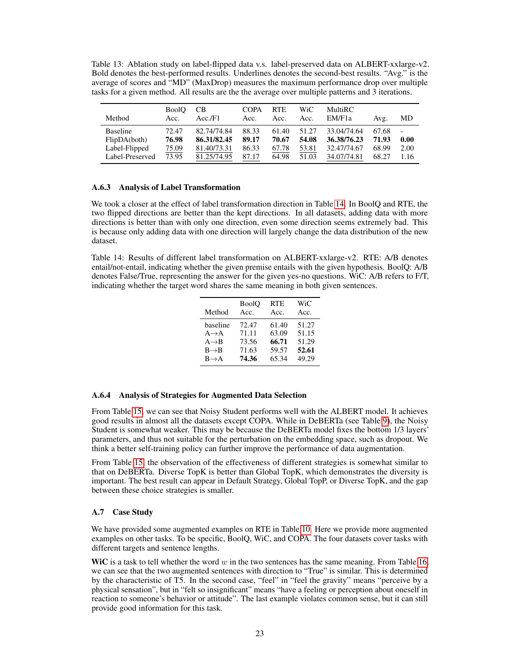<span id="page-22-2"></span>Table 13: Ablation study on label-flipped data v.s. label-preserved data on ALBERT-xxlarge-v2. Bold denotes the best-performed results. Underlines denotes the second-best results. "Avg." is the average of scores and "MD" (MaxDrop) measures the maximum performance drop over multiple tasks for a given method. All results are the the average over multiple patterns and 3 iterations.

| Method          | <b>BoolO</b><br>Acc. | CB.<br>Acc.F1 | <b>COPA</b><br>Acc. | <b>RTE</b><br>Acc. | WiC<br>Acc. | MultiRC<br>EM/F1a | Avg.  | MD     |
|-----------------|----------------------|---------------|---------------------|--------------------|-------------|-------------------|-------|--------|
| <b>Baseline</b> | 72.47                | 82.74/74.84   | 88.33               | 61.40              | 51.27       | 33.04/74.64       | 67.68 | $\sim$ |
| FlipDA(both)    | 76.98                | 86.31/82.45   | 89.17               | 70.67              | 54.08       | 36.38/76.23       | 71.93 | 0.00   |
| Label-Flipped   | 75.09                | 81.40/73.31   | 86.33               | 67.78              | 53.81       | 32.47/74.67       | 68.99 | 2.00   |
| Label-Preserved | 73.95                | 81.25/74.95   | 87.17               | 64.98              | 51.03       | 34.07/74.81       | 68.27 | 1.16   |

### <span id="page-22-0"></span>A.6.3 Analysis of Label Transformation

We took a closer at the effect of label transformation direction in Table [14.](#page-22-3) In BoolQ and RTE, the two flipped directions are better than the kept directions. In all datasets, adding data with more directions is better than with only one direction, even some direction seems extremely bad. This is because only adding data with one direction will largely change the data distribution of the new dataset.

<span id="page-22-3"></span>Table 14: Results of different label transformation on ALBERT-xxlarge-v2. RTE: A/B denotes entail/not-entail, indicating whether the given premise entails with the given hypothesis. BoolQ: A/B denotes False/True, representing the answer for the given yes-no questions. WiC: A/B refers to F/T, indicating whether the target word shares the same meaning in both given sentences.

| Method            | <b>BoolO</b> | <b>RTE</b> | WiC   |
|-------------------|--------------|------------|-------|
|                   | Acc.         | Acc.       | Acc.  |
| baseline          | 72.47        | 61.40      | 51.27 |
| $A \rightarrow A$ | 71.11        | 63.09      | 51.15 |
| $A \rightarrow B$ | 73.56        | 66.71      | 51.29 |
| $B \rightarrow B$ | 71.63        | 59.57      | 52.61 |
| $B \rightarrow A$ | 74.36        | 65.34      | 49.29 |

### A.6.4 Analysis of Strategies for Augmented Data Selection

From Table [15,](#page-23-0) we can see that Noisy Student performs well with the ALBERT model. It achieves good results in almost all the datasets except COPA. While in DeBERTa (see Table [9\)](#page-12-0), the Noisy Student is somewhat weaker. This may be because the DeBERTa model fixes the bottom 1/3 layers' parameters, and thus not suitable for the perturbation on the embedding space, such as dropout. We think a better self-training policy can further improve the performance of data augmentation.

From Table [15,](#page-23-0) the observation of the effectiveness of different strategies is somewhat similar to that on DeBERTa. Diverse TopK is better than Global TopK, which demonstrates the diversity is important. The best result can appear in Default Strategy, Global TopP, or Diverse TopK, and the gap between these choice strategies is smaller.

### <span id="page-22-1"></span>A.7 Case Study

We have provided some augmented examples on RTE in Table [10.](#page-13-0) Here we provide more augmented examples on other tasks. To be specific, BoolQ, WiC, and COPA. The four datasets cover tasks with different targets and sentence lengths.

WiC is a task to tell whether the word w in the two sentences has the same meaning. From Table [16,](#page-23-1) we can see that the two augmented sentences with direction to "True" is similar. This is determined by the characteristic of T5. In the second case, "feel" in "feel the gravity" means "perceive by a physical sensation", but in "felt so insignificant" means "have a feeling or perception about oneself in reaction to someone's behavior or attitude". The last example violates common sense, but it can still provide good information for this task.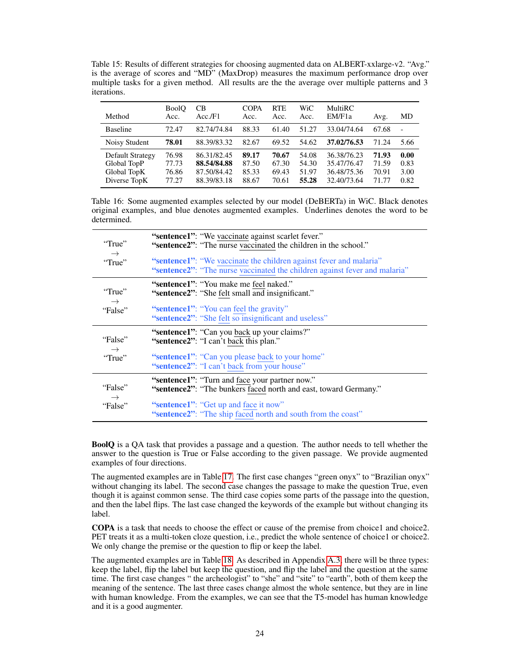<span id="page-23-0"></span>Table 15: Results of different strategies for choosing augmented data on ALBERT-xxlarge-v2. "Avg." is the average of scores and "MD" (MaxDrop) measures the maximum performance drop over multiple tasks for a given method. All results are the the average over multiple patterns and 3 iterations.

| Method                                                         | <b>BoolO</b><br>Acc.             | СB<br>Acc.F1                                             | <b>COPA</b><br>Acc.              | <b>RTE</b><br>Acc.               | WiC<br>Acc.                      | <b>MultiRC</b><br>EM/F1a                                 | Avg.                             | MD                           |
|----------------------------------------------------------------|----------------------------------|----------------------------------------------------------|----------------------------------|----------------------------------|----------------------------------|----------------------------------------------------------|----------------------------------|------------------------------|
| <b>Baseline</b>                                                | 72.47                            | 82.74/74.84                                              | 88.33                            | 61.40                            | 51.27                            | 33.04/74.64                                              | 67.68                            | $\overline{\phantom{a}}$     |
| Noisy Student                                                  | 78.01                            | 88.39/83.32                                              | 82.67                            | 69.52                            | 54.62                            | 37.02/76.53                                              | 71.24                            | 5.66                         |
| Default Strategy<br>Global TopP<br>Global TopK<br>Diverse TopK | 76.98<br>77.73<br>76.86<br>77.27 | 86.31/82.45<br>88.54/84.88<br>87.50/84.42<br>88.39/83.18 | 89.17<br>87.50<br>85.33<br>88.67 | 70.67<br>67.30<br>69.43<br>70.61 | 54.08<br>54.30<br>51.97<br>55.28 | 36.38/76.23<br>35.47/76.47<br>36.48/75.36<br>32.40/73.64 | 71.93<br>71.59<br>70.91<br>71.77 | 0.00<br>0.83<br>3.00<br>0.82 |

<span id="page-23-1"></span>Table 16: Some augmented examples selected by our model (DeBERTa) in WiC. Black denotes original examples, and blue denotes augmented examples. Underlines denotes the word to be determined.

| "True"        | "sentence1": "We vaccinate against scarlet fever."                                                                                               |
|---------------|--------------------------------------------------------------------------------------------------------------------------------------------------|
| $\rightarrow$ | "sentence2": "The nurse vaccinated the children in the school."                                                                                  |
| "True"        | "sentence1": "We vaccinate the children against fever and malaria"<br>"sentence2": "The nurse vaccinated the children against fever and malaria" |
| "True"        | "sentence1": "You make me feel naked."                                                                                                           |
| $\rightarrow$ | "sentence2": "She felt small and insignificant."                                                                                                 |
| "False"       | "sentence1": "You can feel the gravity"<br>"sentence2": "She felt so insignificant and useless"                                                  |
| "False"       | "sentence1": "Can you back up your claims?"<br>"sentence2": "I can't back this plan."                                                            |
| $\rightarrow$ | "sentence1": "Can you please back to your home"                                                                                                  |
| "True"        | "sentence2": "I can't back from your house"                                                                                                      |
| "False"       | "sentence1": "Turn and face your partner now."                                                                                                   |
| $\rightarrow$ | "sentence2": "The bunkers faced north and east, toward Germany."                                                                                 |
| "False"       | "sentence1": "Get up and face it now"<br>"sentence2": "The ship faced north and south from the coast"                                            |

BoolQ is a QA task that provides a passage and a question. The author needs to tell whether the answer to the question is True or False according to the given passage. We provide augmented examples of four directions.

The augmented examples are in Table [17.](#page-24-0) The first case changes "green onyx" to "Brazilian onyx" without changing its label. The second case changes the passage to make the question True, even though it is against common sense. The third case copies some parts of the passage into the question, and then the label flips. The last case changed the keywords of the example but without changing its label.

COPA is a task that needs to choose the effect or cause of the premise from choice1 and choice2. PET treats it as a multi-token cloze question, i.e., predict the whole sentence of choice1 or choice2. We only change the premise or the question to flip or keep the label.

The augmented examples are in Table [18.](#page-25-0) As described in Appendix [A.3,](#page-19-0) there will be three types: keep the label, flip the label but keep the question, and flip the label and the question at the same time. The first case changes " the archeologist" to "she" and "site" to "earth", both of them keep the meaning of the sentence. The last three cases change almost the whole sentence, but they are in line with human knowledge. From the examples, we can see that the T5-model has human knowledge and it is a good augmenter.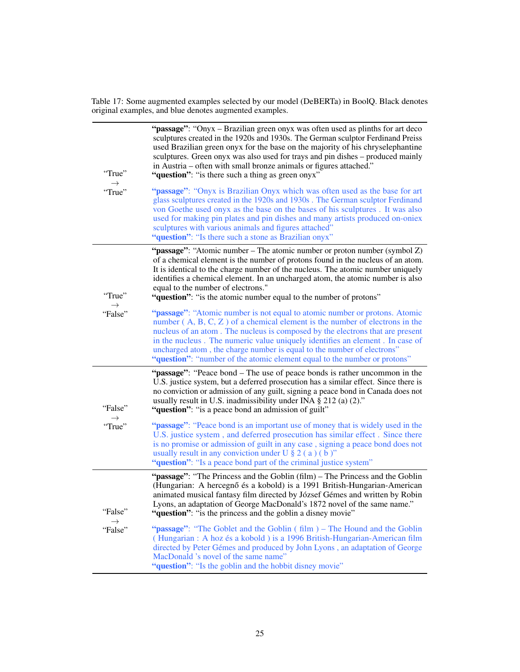<span id="page-24-0"></span>Table 17: Some augmented examples selected by our model (DeBERTa) in BoolQ. Black denotes original examples, and blue denotes augmented examples.

| "True"<br>$\rightarrow$  | "passage": "Onyx – Brazilian green onyx was often used as plinths for art deco<br>sculptures created in the 1920s and 1930s. The German sculptor Ferdinand Preiss<br>used Brazilian green onyx for the base on the majority of his chryselephantine<br>sculptures. Green onyx was also used for trays and pin dishes – produced mainly<br>in Austria – often with small bronze animals or figures attached."<br>"question": "is there such a thing as green onyx"                   |
|--------------------------|-------------------------------------------------------------------------------------------------------------------------------------------------------------------------------------------------------------------------------------------------------------------------------------------------------------------------------------------------------------------------------------------------------------------------------------------------------------------------------------|
| "True"                   | "passage": "Onyx is Brazilian Onyx which was often used as the base for art<br>glass sculptures created in the 1920s and 1930s. The German sculptor Ferdinand<br>von Goethe used onyx as the base on the bases of his sculptures. It was also<br>used for making pin plates and pin dishes and many artists produced on-oniex<br>sculptures with various animals and figures attached"<br>"question": "Is there such a stone as Brazilian onyx"                                     |
| "True"                   | "passage": "Atomic number – The atomic number or proton number (symbol Z)<br>of a chemical element is the number of protons found in the nucleus of an atom.<br>It is identical to the charge number of the nucleus. The atomic number uniquely<br>identifies a chemical element. In an uncharged atom, the atomic number is also<br>equal to the number of electrons."<br>"question": "is the atomic number equal to the number of protons"                                        |
| $\rightarrow$<br>"False" | "passage": "Atomic number is not equal to atomic number or protons. Atomic<br>number $(A, B, C, Z)$ of a chemical element is the number of electrons in the<br>nucleus of an atom. The nucleus is composed by the electrons that are present<br>in the nucleus. The numeric value uniquely identifies an element. In case of<br>uncharged atom, the charge number is equal to the number of electrons"<br>"question": "number of the atomic element equal to the number or protons" |
| "False"                  | "passage": "Peace bond – The use of peace bonds is rather uncommon in the<br>U.S. justice system, but a deferred prosecution has a similar effect. Since there is<br>no conviction or admission of any guilt, signing a peace bond in Canada does not<br>usually result in U.S. inadmissibility under INA $\S$ 212 (a) (2)."<br>"question": "is a peace bond an admission of guilt"                                                                                                 |
| $\rightarrow$<br>"True"  | "passage": "Peace bond is an important use of money that is widely used in the<br>U.S. justice system, and deferred prosecution has similar effect. Since there<br>is no promise or admission of guilt in any case, signing a peace bond does not<br>usually result in any conviction under U $\S 2$ (a) (b)"<br>"question": "Is a peace bond part of the criminal justice system"                                                                                                  |
| "False"<br>$\rightarrow$ | "passage": "The Princess and the Goblin (film) – The Princess and the Goblin<br>(Hungarian: A hercegnő és a kobold) is a 1991 British-Hungarian-American<br>animated musical fantasy film directed by József Gémes and written by Robin<br>Lyons, an adaptation of George MacDonald's 1872 novel of the same name."<br>"question": "is the princess and the goblin a disney movie"                                                                                                  |
| "False"                  | "passage": "The Goblet and the Goblin (film) – The Hound and the Goblin<br>(Hungarian: A hoz és a kobold) is a 1996 British-Hungarian-American film<br>directed by Peter Gémes and produced by John Lyons, an adaptation of George<br>MacDonald 's novel of the same name"<br>"question": "Is the goblin and the hobbit disney movie"                                                                                                                                               |